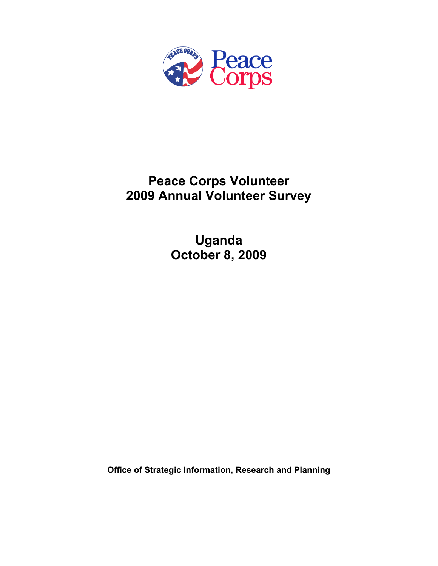

# **Peace Corps Volunteer 2009 Annual Volunteer Survey**

**Uganda October 8, 2009** 

**Office of Strategic Information, Research and Planning**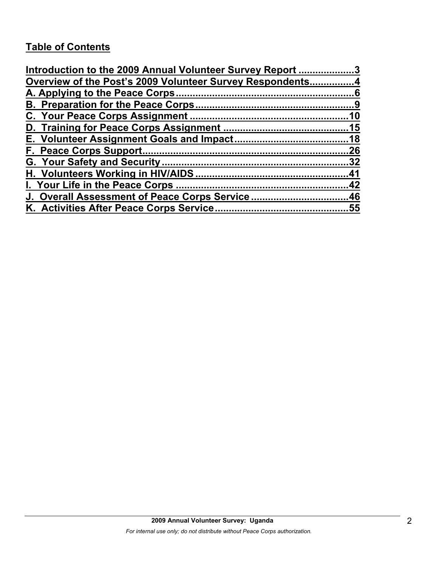# **Table of Contents**

| Introduction to the 2009 Annual Volunteer Survey Report 3 |     |
|-----------------------------------------------------------|-----|
| Overview of the Post's 2009 Volunteer Survey Respondents4 |     |
|                                                           |     |
|                                                           |     |
|                                                           |     |
|                                                           |     |
|                                                           |     |
|                                                           | .26 |
|                                                           |     |
|                                                           |     |
|                                                           |     |
| J. Overall Assessment of Peace Corps Service46            |     |
|                                                           |     |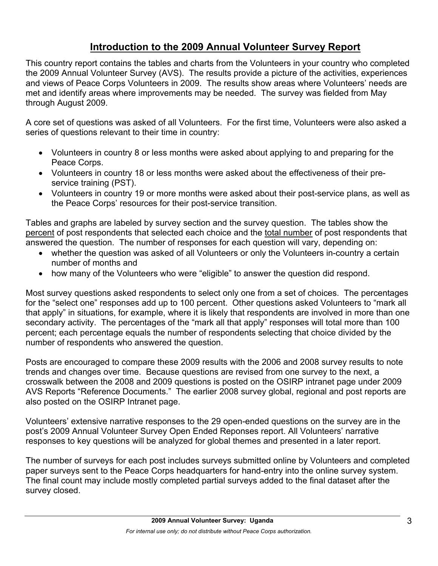# **Introduction to the 2009 Annual Volunteer Survey Report**

This country report contains the tables and charts from the Volunteers in your country who completed the 2009 Annual Volunteer Survey (AVS). The results provide a picture of the activities, experiences and views of Peace Corps Volunteers in 2009. The results show areas where Volunteers' needs are met and identify areas where improvements may be needed. The survey was fielded from May through August 2009.

A core set of questions was asked of all Volunteers. For the first time, Volunteers were also asked a series of questions relevant to their time in country:

- Volunteers in country 8 or less months were asked about applying to and preparing for the Peace Corps.
- Volunteers in country 18 or less months were asked about the effectiveness of their preservice training (PST).
- Volunteers in country 19 or more months were asked about their post-service plans, as well as the Peace Corps' resources for their post-service transition.

Tables and graphs are labeled by survey section and the survey question. The tables show the percent of post respondents that selected each choice and the total number of post respondents that answered the question. The number of responses for each question will vary, depending on:

- whether the question was asked of all Volunteers or only the Volunteers in-country a certain number of months and
- how many of the Volunteers who were "eligible" to answer the question did respond.

Most survey questions asked respondents to select only one from a set of choices. The percentages for the "select one" responses add up to 100 percent. Other questions asked Volunteers to "mark all that apply" in situations, for example, where it is likely that respondents are involved in more than one secondary activity. The percentages of the "mark all that apply" responses will total more than 100 percent; each percentage equals the number of respondents selecting that choice divided by the number of respondents who answered the question.

Posts are encouraged to compare these 2009 results with the 2006 and 2008 survey results to note trends and changes over time. Because questions are revised from one survey to the next, a crosswalk between the 2008 and 2009 questions is posted on the OSIRP intranet page under 2009 AVS Reports "Reference Documents." The earlier 2008 survey global, regional and post reports are also posted on the OSIRP Intranet page.

Volunteers' extensive narrative responses to the 29 open-ended questions on the survey are in the post's 2009 Annual Volunteer Survey Open Ended Reponses report. All Volunteers' narrative responses to key questions will be analyzed for global themes and presented in a later report.

The number of surveys for each post includes surveys submitted online by Volunteers and completed paper surveys sent to the Peace Corps headquarters for hand-entry into the online survey system. The final count may include mostly completed partial surveys added to the final dataset after the survey closed.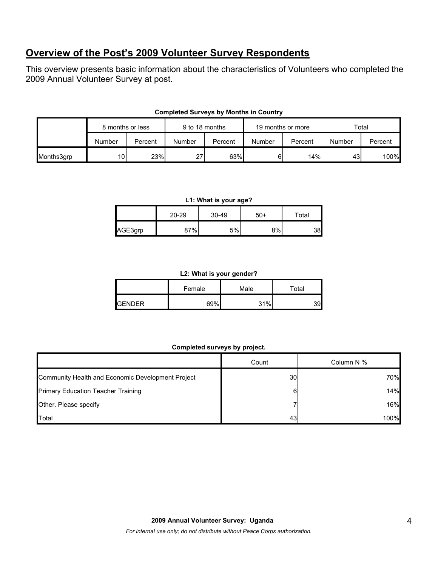# **Overview of the Post's 2009 Volunteer Survey Respondents**

This overview presents basic information about the characteristics of Volunteers who completed the 2009 Annual Volunteer Survey at post.

|            | 8 months or less |         | 9 to 18 months |         | 19 months or more |         | Total  |         |
|------------|------------------|---------|----------------|---------|-------------------|---------|--------|---------|
|            | Number           | Percent | Number         | Percent | Number            | Percent | Number | Percent |
| Months3grp | 10I              | 23%     | 27             | 63%     | 61                | 14%     | 43     | 100%    |

## **Completed Surveys by Months in Country**

#### **L1: What is your age?**

|         | 20-29 | 30-49 | $50+$ | Total |
|---------|-------|-------|-------|-------|
| AGE3grp | 87%   | 5%    | 8%    | 38    |

#### **L2: What is your gender?**

|               | Female | Male | Total |
|---------------|--------|------|-------|
| <b>GENDER</b> | 69%    | 31%  |       |

## **Completed surveys by project.**

|                                                   | Count           | Column N % |
|---------------------------------------------------|-----------------|------------|
| Community Health and Economic Development Project | 30 <sub>l</sub> | 70%        |
| <b>Primary Education Teacher Training</b>         | 6.              | 14%        |
| Other. Please specify                             |                 | 16%        |
| Total                                             | 43              | 100%       |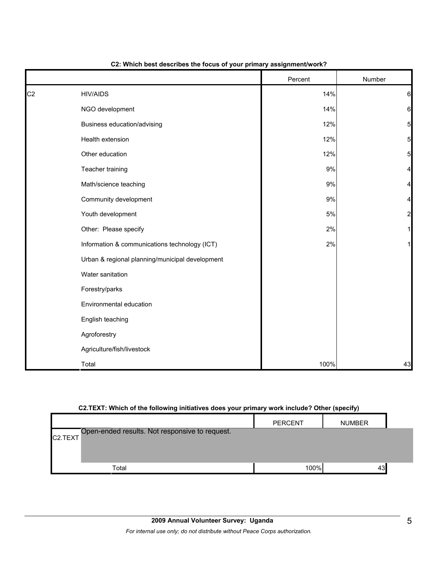|                |                                                 | Percent | Number          |
|----------------|-------------------------------------------------|---------|-----------------|
| C <sub>2</sub> | <b>HIV/AIDS</b>                                 | 14%     | 6               |
|                | NGO development                                 | 14%     | 6               |
|                | Business education/advising                     | 12%     | $5\overline{)}$ |
|                | Health extension                                | 12%     | $5\overline{)}$ |
|                | Other education                                 | 12%     | 5               |
|                | Teacher training                                | 9%      | 4               |
|                | Math/science teaching                           | $9\%$   | 4               |
|                | Community development                           | $9\%$   | 4               |
|                | Youth development                               | $5\%$   | $\overline{a}$  |
|                | Other: Please specify                           | 2%      |                 |
|                | Information & communications technology (ICT)   | 2%      |                 |
|                | Urban & regional planning/municipal development |         |                 |
|                | Water sanitation                                |         |                 |
|                | Forestry/parks                                  |         |                 |
|                | Environmental education                         |         |                 |
|                | English teaching                                |         |                 |
|                | Agroforestry                                    |         |                 |
|                | Agriculture/fish/livestock                      |         |                 |
|                | Total                                           | 100%    | 43              |

## **C2: Which best describes the focus of your primary assignment/work?**

## **C2.TEXT: Which of the following initiatives does your primary work include? Other (specify)**

|                      |                                                | <b>PERCENT</b> | <b>NUMBER</b> |  |
|----------------------|------------------------------------------------|----------------|---------------|--|
| C <sub>2</sub> .TEXT | Open-ended results. Not responsive to request. |                |               |  |
|                      |                                                |                |               |  |
|                      |                                                |                |               |  |
|                      | Total                                          | 100%           | 43            |  |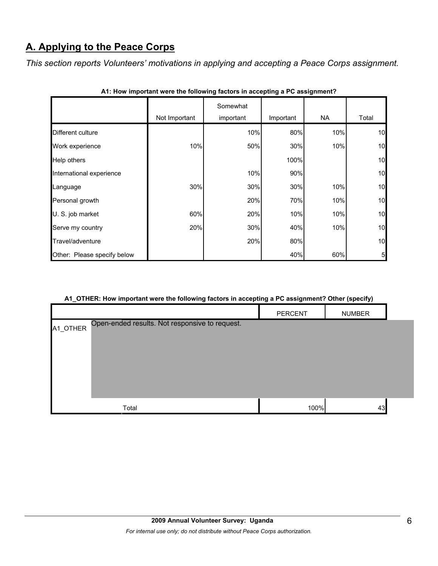# **A. Applying to the Peace Corps**

*This section reports Volunteers' motivations in applying and accepting a Peace Corps assignment.* 

|                             |               | Somewhat  |           |           |                 |
|-----------------------------|---------------|-----------|-----------|-----------|-----------------|
|                             | Not Important | important | Important | <b>NA</b> | Total           |
| Different culture           |               | 10%       | 80%       | 10%       | 10              |
| Work experience             | 10%           | 50%       | 30%       | 10%       | 10              |
| Help others                 |               |           | 100%      |           | 10              |
| International experience    |               | 10%       | 90%       |           | 10              |
| Language                    | 30%           | 30%       | 30%       | 10%       | 10              |
| Personal growth             |               | 20%       | 70%       | 10%       | 10              |
| U. S. job market            | 60%           | 20%       | 10%       | 10%       | 10              |
| Serve my country            | 20%           | 30%       | 40%       | 10%       | 10              |
| Travel/adventure            |               | 20%       | 80%       |           | 10              |
| Other: Please specify below |               |           | 40%       | 60%       | $5\overline{)}$ |

| A1: How important were the following factors in accepting a PC assignment? |  |
|----------------------------------------------------------------------------|--|
|----------------------------------------------------------------------------|--|

## **A1\_OTHER: How important were the following factors in accepting a PC assignment? Other (specify)**

|                                                            | PERCENT | <b>NUMBER</b> |  |
|------------------------------------------------------------|---------|---------------|--|
| Open-ended results. Not responsive to request.<br>A1_OTHER |         |               |  |
| Total                                                      | 100%    | 43            |  |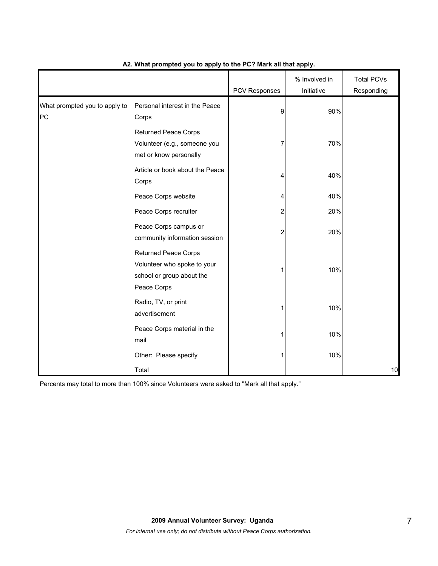|                                     |                                                                                                        | PCV Responses | % Involved in<br>Initiative | <b>Total PCVs</b><br>Responding |
|-------------------------------------|--------------------------------------------------------------------------------------------------------|---------------|-----------------------------|---------------------------------|
| What prompted you to apply to<br>PC | Personal interest in the Peace<br>Corps                                                                | 9             | 90%                         |                                 |
|                                     | <b>Returned Peace Corps</b><br>Volunteer (e.g., someone you<br>met or know personally                  |               | 70%                         |                                 |
|                                     | Article or book about the Peace<br>Corps                                                               | 4             | 40%                         |                                 |
|                                     | Peace Corps website                                                                                    | 4             | 40%                         |                                 |
|                                     | Peace Corps recruiter                                                                                  | 2             | 20%                         |                                 |
|                                     | Peace Corps campus or<br>community information session                                                 | 2             | 20%                         |                                 |
|                                     | <b>Returned Peace Corps</b><br>Volunteer who spoke to your<br>school or group about the<br>Peace Corps |               | 10%                         |                                 |
|                                     | Radio, TV, or print<br>advertisement                                                                   |               | 10%                         |                                 |
|                                     | Peace Corps material in the<br>mail                                                                    |               | 10%                         |                                 |
|                                     | Other: Please specify                                                                                  |               | 10%                         |                                 |
|                                     | Total                                                                                                  |               |                             | 10                              |

## **A2. What prompted you to apply to the PC? Mark all that apply.**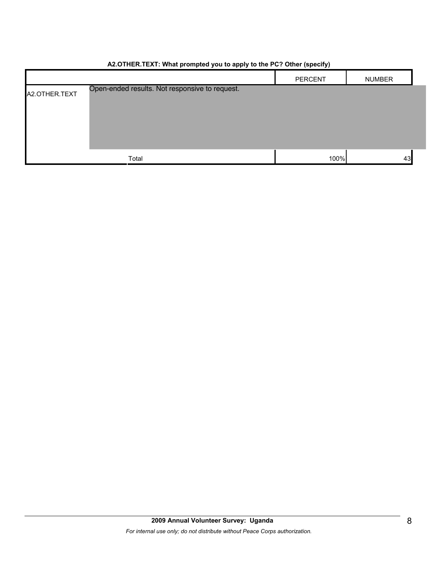|               | $\overline{\phantom{a}}$<br>.                  | $\sim$ $\sim$ $\sim$<br>. . |               |
|---------------|------------------------------------------------|-----------------------------|---------------|
|               |                                                | <b>PERCENT</b>              | <b>NUMBER</b> |
| A2.OTHER.TEXT | Open-ended results. Not responsive to request. |                             |               |
|               |                                                |                             |               |
|               |                                                |                             |               |
|               |                                                |                             |               |
|               |                                                |                             |               |
|               | Total                                          | 100%                        | 43            |

## **A2.OTHER.TEXT: What prompted you to apply to the PC? Other (specify)**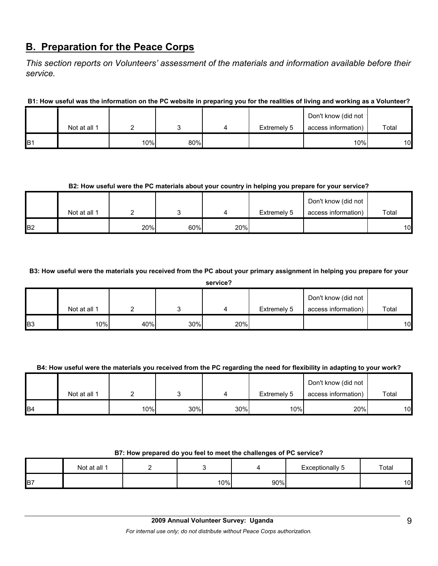## **B. Preparation for the Peace Corps**

*This section reports on Volunteers' assessment of the materials and information available before their service.* 

**B1: How useful was the information on the PC website in preparing you for the realities of living and working as a Volunteer?**

|                 |              |     |     |             | Don't know (did not |       |
|-----------------|--------------|-----|-----|-------------|---------------------|-------|
|                 | Not at all 1 |     |     | Extremely 5 | access information) | Total |
| IB <sub>1</sub> |              | 10% | 80% |             | 10%                 | 10    |

## **B2: How useful were the PC materials about your country in helping you prepare for your service?**

|                |              |     |     |     |             | Don't know (did not |       |
|----------------|--------------|-----|-----|-----|-------------|---------------------|-------|
|                | Not at all 1 |     |     |     | Extremely 5 | access information) | Total |
| B <sub>2</sub> |              | 20% | 60% | 20% |             |                     | 10    |

**B3: How useful were the materials you received from the PC about your primary assignment in helping you prepare for your** 

|                | service?     |     |     |     |             |                     |       |  |  |
|----------------|--------------|-----|-----|-----|-------------|---------------------|-------|--|--|
|                |              |     |     |     |             | Don't know (did not |       |  |  |
|                | Not at all 1 |     |     | 4   | Extremely 5 | access information) | Total |  |  |
| B <sub>3</sub> | 10%          | 40% | 30% | 20% |             |                     | 10    |  |  |

## **B4: How useful were the materials you received from the PC regarding the need for flexibility in adapting to your work?**

|                |              |     |     |     |             | Don't know (did not |       |
|----------------|--------------|-----|-----|-----|-------------|---------------------|-------|
|                | Not at all 1 |     |     |     | Extremely 5 | access information) | Total |
| B <sub>4</sub> |              | 10% | 30% | 30% | 10%         | 20%                 | 10    |

#### **B7: How prepared do you feel to meet the challenges of PC service?**

|                | Not at all 1 |     |     | Exceptionally<br>ັ | Total |
|----------------|--------------|-----|-----|--------------------|-------|
| B <sub>7</sub> |              | 10% | 90% |                    | 10    |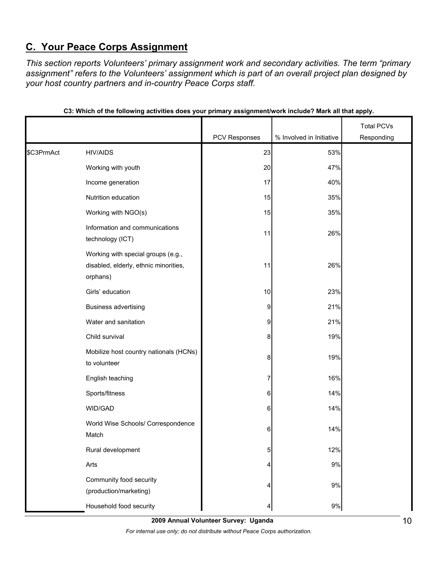# **C. Your Peace Corps Assignment**

*This section reports Volunteers' primary assignment work and secondary activities. The term "primary assignment" refers to the Volunteers' assignment which is part of an overall project plan designed by your host country partners and in-country Peace Corps staff.* 

|            |                                                                                         | PCV Responses | % Involved in Initiative | <b>Total PCVs</b> |
|------------|-----------------------------------------------------------------------------------------|---------------|--------------------------|-------------------|
|            |                                                                                         |               |                          | Responding        |
| \$C3PrmAct | <b>HIV/AIDS</b>                                                                         | 23            | 53%                      |                   |
|            | Working with youth                                                                      | 20            | 47%                      |                   |
|            | Income generation                                                                       | 17            | 40%                      |                   |
|            | Nutrition education                                                                     | 15            | 35%                      |                   |
|            | Working with NGO(s)                                                                     | 15            | 35%                      |                   |
|            | Information and communications<br>technology (ICT)                                      | 11            | 26%                      |                   |
|            | Working with special groups (e.g.,<br>disabled, elderly, ethnic minorities,<br>orphans) | 11            | 26%                      |                   |
|            | Girls' education                                                                        | 10            | 23%                      |                   |
|            | <b>Business advertising</b>                                                             | 9             | 21%                      |                   |
|            | Water and sanitation                                                                    | 9             | 21%                      |                   |
|            | Child survival                                                                          | 8             | 19%                      |                   |
|            | Mobilize host country nationals (HCNs)<br>to volunteer                                  | 8             | 19%                      |                   |
|            | English teaching                                                                        | 7             | 16%                      |                   |
|            | Sports/fitness                                                                          | 6             | 14%                      |                   |
|            | WID/GAD                                                                                 | 6             | 14%                      |                   |
|            | World Wise Schools/ Correspondence<br>Match                                             | 6             | 14%                      |                   |
|            | Rural development                                                                       | 5             | 12%                      |                   |
|            | Arts                                                                                    | 4             | $9\%$                    |                   |
|            | Community food security<br>(production/marketing)                                       | 4             | 9%                       |                   |
|            | Household food security                                                                 |               | $9\%$                    |                   |

#### **C3: Which of the following activities does your primary assignment/work include? Mark all that apply.**

**2009 Annual Volunteer Survey: Uganda** 

*For internal use only; do not distribute without Peace Corps authorization.*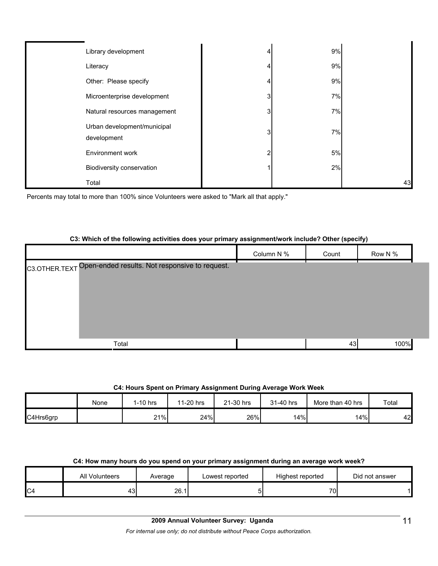| Library development                        | 9% |    |
|--------------------------------------------|----|----|
| Literacy                                   | 9% |    |
| Other: Please specify                      | 9% |    |
| Microenterprise development                | 7% |    |
| Natural resources management               | 7% |    |
| Urban development/municipal<br>development | 7% |    |
| <b>Environment work</b>                    | 5% |    |
| Biodiversity conservation                  | 2% |    |
| Total                                      |    | 43 |

Percents may total to more than 100% since Volunteers were asked to "Mark all that apply."

## **C3: Which of the following activities does your primary assignment/work include? Other (specify)**

|                                                              | Column N % | Count | Row N % |  |
|--------------------------------------------------------------|------------|-------|---------|--|
| C3.OTHER.TEXT Open-ended results. Not responsive to request. |            |       |         |  |
|                                                              |            |       |         |  |
|                                                              |            |       |         |  |
|                                                              |            |       |         |  |
|                                                              |            |       |         |  |
|                                                              |            |       |         |  |
| Total                                                        |            | 43    | 100%    |  |

## **C4: Hours Spent on Primary Assignment During Average Work Week**

|           | None | I-10 hrs | 11-20 hrs | 21-30 hrs | 31-40 hrs | More than 40 hrs | Total |
|-----------|------|----------|-----------|-----------|-----------|------------------|-------|
| C4Hrs6grp |      | 21%      | 24%       | 26%       | 14%       | 14%              | 42    |

## **C4: How many hours do you spend on your primary assignment during an average work week?**

|    | All Volunteers | Average | Lowest reported | Highest reported | Did not answer |
|----|----------------|---------|-----------------|------------------|----------------|
| C4 | - ن            | 26.1    |                 | 70.              |                |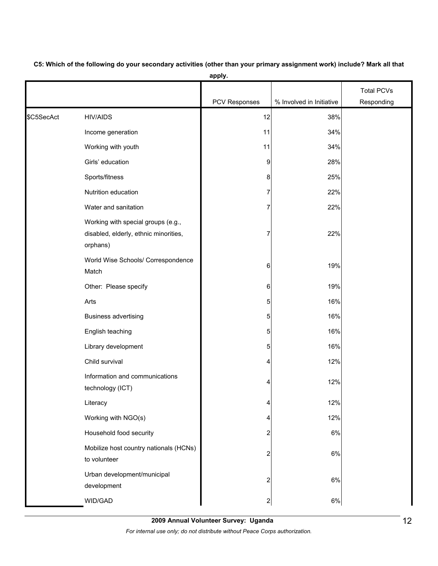|            |                                                                                         |                      |                          | <b>Total PCVs</b> |
|------------|-----------------------------------------------------------------------------------------|----------------------|--------------------------|-------------------|
|            |                                                                                         | <b>PCV Responses</b> | % Involved in Initiative | Responding        |
| \$C5SecAct | <b>HIV/AIDS</b>                                                                         | 12                   | 38%                      |                   |
|            | Income generation                                                                       | 11                   | 34%                      |                   |
|            | Working with youth                                                                      | 11                   | 34%                      |                   |
|            | Girls' education                                                                        | 9                    | 28%                      |                   |
|            | Sports/fitness                                                                          | 8                    | 25%                      |                   |
|            | Nutrition education                                                                     | 7                    | 22%                      |                   |
|            | Water and sanitation                                                                    | 7                    | 22%                      |                   |
|            | Working with special groups (e.g.,<br>disabled, elderly, ethnic minorities,<br>orphans) | 7                    | 22%                      |                   |
|            | World Wise Schools/ Correspondence<br>Match                                             | 6                    | 19%                      |                   |
|            | Other: Please specify                                                                   | 6                    | 19%                      |                   |
|            | Arts                                                                                    | 5                    | 16%                      |                   |
|            | <b>Business advertising</b>                                                             | 5                    | 16%                      |                   |
|            | English teaching                                                                        | 5                    | 16%                      |                   |
|            | Library development                                                                     | 5                    | 16%                      |                   |
|            | Child survival                                                                          | 4                    | 12%                      |                   |
|            | Information and communications<br>technology (ICT)                                      | 4                    | 12%                      |                   |
|            | Literacy                                                                                | 4                    | 12%                      |                   |
|            | Working with NGO(s)                                                                     | 4                    | 12%                      |                   |
|            | Household food security                                                                 | 2                    | 6%                       |                   |
|            | Mobilize host country nationals (HCNs)<br>to volunteer                                  | 2                    | 6%                       |                   |
|            | Urban development/municipal<br>development                                              | 2                    | 6%                       |                   |
|            | WID/GAD                                                                                 | $\mathbf{2}$         | $6\%$                    |                   |

**C5: Which of the following do your secondary activities (other than your primary assignment work) include? Mark all that apply.**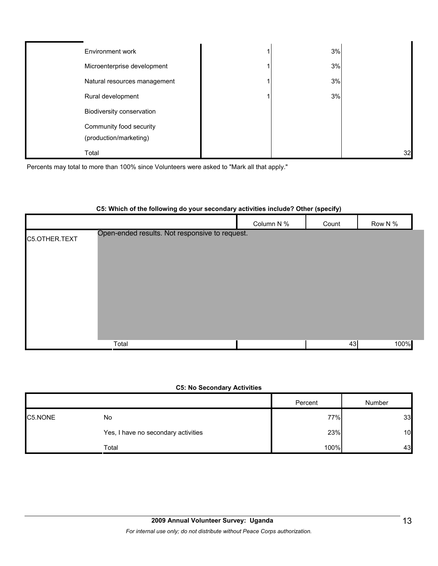| Environment work                                  | 3% |    |
|---------------------------------------------------|----|----|
| Microenterprise development                       | 3% |    |
| Natural resources management                      | 3% |    |
| Rural development                                 | 3% |    |
| Biodiversity conservation                         |    |    |
| Community food security<br>(production/marketing) |    |    |
| Total                                             |    | 32 |

Percents may total to more than 100% since Volunteers were asked to "Mark all that apply."

## **C5: Which of the following do your secondary activities include? Other (specify)**

|               |                                                |            | $\cdot$ .<br>$\sim$ $\sim$ |         |
|---------------|------------------------------------------------|------------|----------------------------|---------|
|               |                                                | Column N % | Count                      | Row N % |
| C5.OTHER.TEXT | Open-ended results. Not responsive to request. |            |                            |         |
|               | Total                                          |            | 43                         | 100%    |

## **C5: No Secondary Activities**

|         |                                     | Percent | Number |
|---------|-------------------------------------|---------|--------|
| C5.NONE | No                                  | 77%     | 33     |
|         | Yes, I have no secondary activities | 23%     | 10     |
|         | Total                               | 100%    | 43     |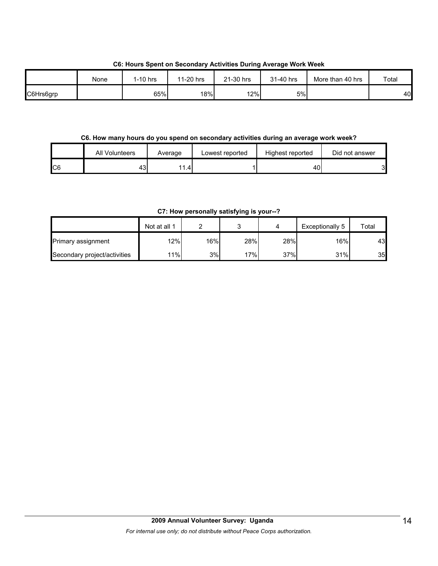**C6: Hours Spent on Secondary Activities During Average Work Week**

|           | None | 1-10 hrs | 11-20 hrs | 21-30 hrs | 31-40 hrs | More than 40 hrs | Total |
|-----------|------|----------|-----------|-----------|-----------|------------------|-------|
| C6Hrs6grp |      | 65%      | 18%       | 12%       | 5%        |                  | 40    |

#### **C6. How many hours do you spend on secondary activities during an average work week?**

|    | All Volunteers | Average     | Lowest reported | Highest reported | Did not answer |
|----|----------------|-------------|-----------------|------------------|----------------|
| C6 | ∽<br>- ن       | ' 4<br>1.4" |                 | 40               |                |

**C7: How personally satisfying is your--?**

|                              | Not at all 1 |     |     |     | Exceptionally 5 | Total |
|------------------------------|--------------|-----|-----|-----|-----------------|-------|
| <b>Primary assignment</b>    | 12%          | 16% | 28% | 28% | 16%             | 43    |
| Secondary project/activities | 11%          | 3%  | 17% | 37% | 31%             | 35    |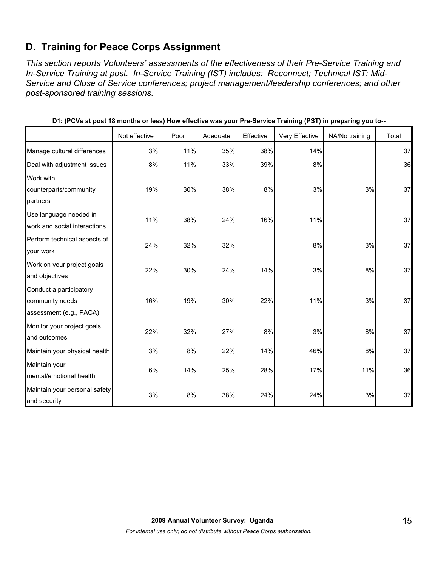# **D. Training for Peace Corps Assignment**

*This section reports Volunteers' assessments of the effectiveness of their Pre-Service Training and In-Service Training at post. In-Service Training (IST) includes: Reconnect; Technical IST; Mid-Service and Close of Service conferences; project management/leadership conferences; and other post-sponsored training sessions.* 

|                                                                       | Not effective | Poor | Adequate | Effective | Very Effective | NA/No training | Total |
|-----------------------------------------------------------------------|---------------|------|----------|-----------|----------------|----------------|-------|
| Manage cultural differences                                           | 3%            | 11%  | 35%      | 38%       | 14%            |                | 37    |
| Deal with adjustment issues                                           | 8%            | 11%  | 33%      | 39%       | 8%             |                | 36    |
| Work with<br>counterparts/community<br>partners                       | 19%           | 30%  | 38%      | 8%        | 3%             | 3%             | 37    |
| Use language needed in<br>work and social interactions                | 11%           | 38%  | 24%      | 16%       | 11%            |                | 37    |
| Perform technical aspects of<br>your work                             | 24%           | 32%  | 32%      |           | 8%             | 3%             | 37    |
| Work on your project goals<br>and objectives                          | 22%           | 30%  | 24%      | 14%       | 3%             | 8%             | 37    |
| Conduct a participatory<br>community needs<br>assessment (e.g., PACA) | 16%           | 19%  | 30%      | 22%       | 11%            | 3%             | 37    |
| Monitor your project goals<br>and outcomes                            | 22%           | 32%  | 27%      | 8%        | 3%             | 8%             | 37    |
| Maintain your physical health                                         | 3%            | 8%   | 22%      | 14%       | 46%            | 8%             | 37    |
| Maintain your<br>mental/emotional health                              | 6%            | 14%  | 25%      | 28%       | 17%            | 11%            | 36    |
| Maintain your personal safety<br>and security                         | 3%            | 8%   | 38%      | 24%       | 24%            | 3%             | 37    |

**D1: (PCVs at post 18 months or less) How effective was your Pre-Service Training (PST) in preparing you to--**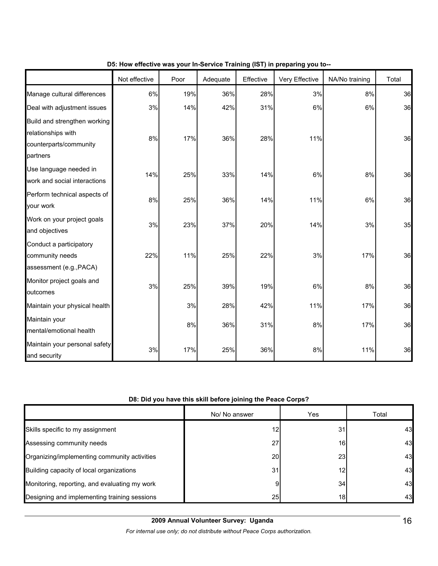|                                                                                          | Not effective | Poor | Adequate | Effective | Very Effective | NA/No training | Total |
|------------------------------------------------------------------------------------------|---------------|------|----------|-----------|----------------|----------------|-------|
| Manage cultural differences                                                              | 6%            | 19%  | 36%      | 28%       | 3%             | 8%             | 36    |
| Deal with adjustment issues                                                              | 3%            | 14%  | 42%      | 31%       | $6\%$          | 6%             | 36    |
| Build and strengthen working<br>relationships with<br>counterparts/community<br>partners | 8%            | 17%  | 36%      | 28%       | 11%            |                | 36    |
| Use language needed in<br>work and social interactions                                   | 14%           | 25%  | 33%      | 14%       | 6%             | 8%             | 36    |
| Perform technical aspects of<br>your work                                                | 8%            | 25%  | 36%      | 14%       | 11%            | 6%             | 36    |
| Work on your project goals<br>and objectives                                             | 3%            | 23%  | 37%      | 20%       | 14%            | 3%             | 35    |
| Conduct a participatory<br>community needs<br>assessment (e.g., PACA)                    | 22%           | 11%  | 25%      | 22%       | 3%             | 17%            | 36    |
| Monitor project goals and<br>outcomes                                                    | 3%            | 25%  | 39%      | 19%       | 6%             | 8%             | 36    |
| Maintain your physical health                                                            |               | 3%   | 28%      | 42%       | 11%            | 17%            | 36    |
| Maintain your<br>mental/emotional health                                                 |               | 8%   | 36%      | 31%       | 8%             | 17%            | 36    |
| Maintain your personal safety<br>and security                                            | 3%            | 17%  | 25%      | 36%       | $8\%$          | 11%            | 36    |

## **D5: How effective was your In-Service Training (IST) in preparing you to--**

## **D8: Did you have this skill before joining the Peace Corps?**

|                                               | No/ No answer | Yes             | Total |
|-----------------------------------------------|---------------|-----------------|-------|
| Skills specific to my assignment              | 12            | 31              | 43    |
| Assessing community needs                     | 27            | 16 <sub>1</sub> | 43    |
| Organizing/implementing community activities  | 20            | 23              | 43    |
| Building capacity of local organizations      | 31            | 12              | 43    |
| Monitoring, reporting, and evaluating my work | 9             | 34              | 43    |
| Designing and implementing training sessions  | 25            | 18              | 43    |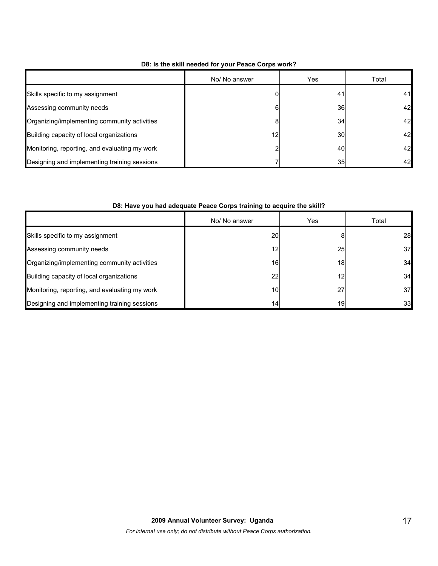|                                               | No/ No answer | Yes             | Total |
|-----------------------------------------------|---------------|-----------------|-------|
| Skills specific to my assignment              |               | 41              | 41    |
| Assessing community needs                     | 6             | 36I             | 42    |
| Organizing/implementing community activities  | 8             | 34              | 42    |
| Building capacity of local organizations      | 12            | 30I             | 42    |
| Monitoring, reporting, and evaluating my work | ◠             | 40I             | 42    |
| Designing and implementing training sessions  |               | 35 <sub>l</sub> | 42    |

## **D8: Is the skill needed for your Peace Corps work?**

## **D8: Have you had adequate Peace Corps training to acquire the skill?**

|                                               | No/ No answer   | Yes | Total |
|-----------------------------------------------|-----------------|-----|-------|
| Skills specific to my assignment              | 20              |     | 28    |
| Assessing community needs                     | 12              | 25  | 37    |
| Organizing/implementing community activities  | 16              | 18  | 34    |
| Building capacity of local organizations      | 22              | 12  | 34    |
| Monitoring, reporting, and evaluating my work | 10              | 27  | 37    |
| Designing and implementing training sessions  | 14 <sub>1</sub> | 19  | 33    |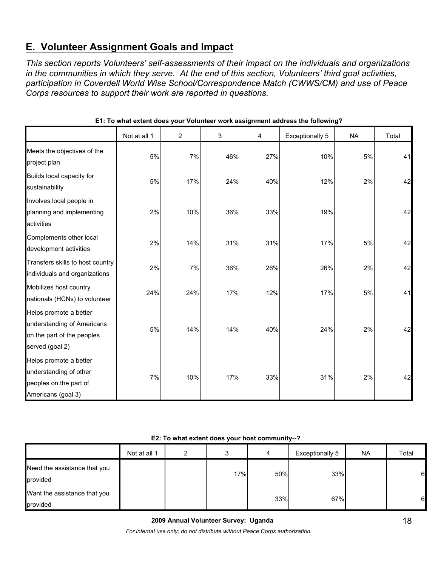# **E. Volunteer Assignment Goals and Impact**

*This section reports Volunteers' self-assessments of their impact on the individuals and organizations in the communities in which they serve. At the end of this section, Volunteers' third goal activities, participation in Coverdell World Wise School/Correspondence Match (CWWS/CM) and use of Peace Corps resources to support their work are reported in questions.* 

|                                                                                                       | Not at all 1 | $\overline{2}$ | 3   | 4   | Exceptionally 5 | <b>NA</b> | Total |
|-------------------------------------------------------------------------------------------------------|--------------|----------------|-----|-----|-----------------|-----------|-------|
| Meets the objectives of the<br>project plan                                                           | 5%           | 7%             | 46% | 27% | 10%             | 5%        | 41    |
| Builds local capacity for<br>sustainability                                                           | 5%           | 17%            | 24% | 40% | 12%             | 2%        | 42    |
| Involves local people in<br>planning and implementing<br>activities                                   | 2%           | 10%            | 36% | 33% | 19%             |           | 42    |
| Complements other local<br>development activities                                                     | 2%           | 14%            | 31% | 31% | 17%             | 5%        | 42    |
| Transfers skills to host country<br>individuals and organizations                                     | 2%           | 7%             | 36% | 26% | 26%             | 2%        | 42    |
| Mobilizes host country<br>nationals (HCNs) to volunteer                                               | 24%          | 24%            | 17% | 12% | 17%             | 5%        | 41    |
| Helps promote a better<br>understanding of Americans<br>on the part of the peoples<br>served (goal 2) | 5%           | 14%            | 14% | 40% | 24%             | 2%        | 42    |
| Helps promote a better<br>understanding of other<br>peoples on the part of<br>Americans (goal 3)      | 7%           | 10%            | 17% | 33% | 31%             | 2%        | 42    |

**E1: To what extent does your Volunteer work assignment address the following?**

|                                          | Not at all 1 | ົ |     | 4   | Exceptionally 5 | <b>NA</b> | Total |
|------------------------------------------|--------------|---|-----|-----|-----------------|-----------|-------|
| Need the assistance that you<br>provided |              |   | 17% | 50% | 33%             |           | 6     |
| Want the assistance that you<br>provided |              |   |     | 33% | 67%             |           | 6     |

**2009 Annual Volunteer Survey: Uganda** 

*For internal use only; do not distribute without Peace Corps authorization.*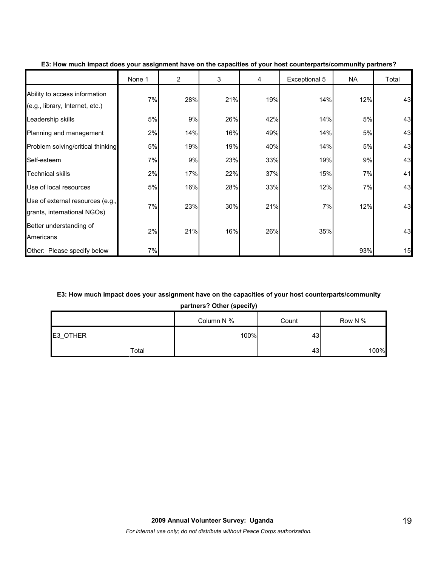|                                                                  | None 1 | $\overline{2}$ | 3   | 4   | Exceptional 5 | <b>NA</b> | Total |
|------------------------------------------------------------------|--------|----------------|-----|-----|---------------|-----------|-------|
| Ability to access information<br>(e.g., library, Internet, etc.) | 7%     | 28%            | 21% | 19% | 14%           | 12%       | 43    |
| Leadership skills                                                | 5%     | 9%             | 26% | 42% | 14%           | 5%        | 43    |
| Planning and management                                          | 2%     | 14%            | 16% | 49% | 14%           | 5%        | 43    |
| Problem solving/critical thinking                                | 5%     | 19%            | 19% | 40% | 14%           | 5%        | 43    |
| Self-esteem                                                      | 7%     | 9%             | 23% | 33% | 19%           | 9%        | 43    |
| <b>Technical skills</b>                                          | 2%     | 17%            | 22% | 37% | 15%           | 7%        | 41    |
| Use of local resources                                           | 5%     | 16%            | 28% | 33% | 12%           | 7%        | 43    |
| Use of external resources (e.g.,<br>grants, international NGOs)  | 7%     | 23%            | 30% | 21% | 7%            | 12%       | 43    |
| Better understanding of<br>Americans                             | 2%     | 21%            | 16% | 26% | 35%           |           | 43    |
| Other: Please specify below                                      | 7%     |                |     |     |               | 93%       | 15    |

#### **E3: How much impact does your assignment have on the capacities of your host counterparts/community partners?**

## **E3: How much impact does your assignment have on the capacities of your host counterparts/community**

**partners? Other (specify)**

|          | Column N % | Count | Row N % |
|----------|------------|-------|---------|
| E3_OTHER | 100%       | 43    |         |
| Total    |            | 43    | 100%    |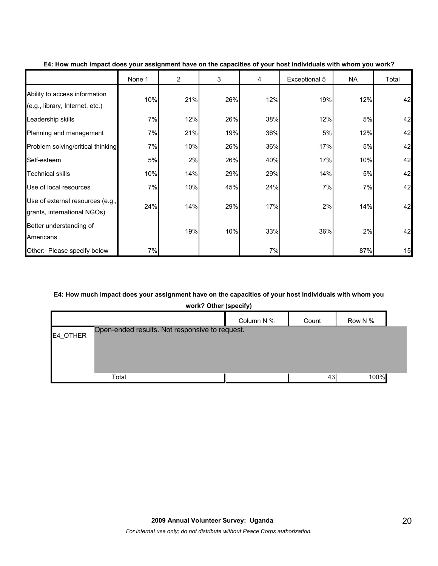|                                                                  | None 1 | $\overline{2}$ | 3   | 4   | Exceptional 5 | NA  | Total |
|------------------------------------------------------------------|--------|----------------|-----|-----|---------------|-----|-------|
| Ability to access information<br>(e.g., library, Internet, etc.) | 10%    | 21%            | 26% | 12% | 19%           | 12% | 42    |
| Leadership skills                                                | 7%     | 12%            | 26% | 38% | 12%           | 5%  | 42    |
| Planning and management                                          | 7%     | 21%            | 19% | 36% | 5%            | 12% | 42    |
| Problem solving/critical thinking                                | 7%     | 10%            | 26% | 36% | 17%           | 5%  | 42    |
| Self-esteem                                                      | 5%     | 2%             | 26% | 40% | 17%           | 10% | 42    |
| <b>Technical skills</b>                                          | 10%    | 14%            | 29% | 29% | 14%           | 5%  | 42    |
| Use of local resources                                           | 7%     | 10%            | 45% | 24% | 7%            | 7%  | 42    |
| Use of external resources (e.g.,<br>grants, international NGOs)  | 24%    | 14%            | 29% | 17% | 2%            | 14% | 42    |
| Better understanding of<br>Americans                             |        | 19%            | 10% | 33% | 36%           | 2%  | 42    |
| Other: Please specify below                                      | 7%     |                |     | 7%  |               | 87% | 15    |

#### **E4: How much impact does your assignment have on the capacities of your host individuals with whom you work?**

## **E4: How much impact does your assignment have on the capacities of your host individuals with whom you**

**work? Other (specify)**

|          |                                                | Column N % | Count | Row N % |
|----------|------------------------------------------------|------------|-------|---------|
| E4_OTHER | Open-ended results. Not responsive to request. |            |       |         |
|          |                                                |            |       |         |
|          |                                                |            |       |         |
|          | Total                                          |            | 43    | 100%    |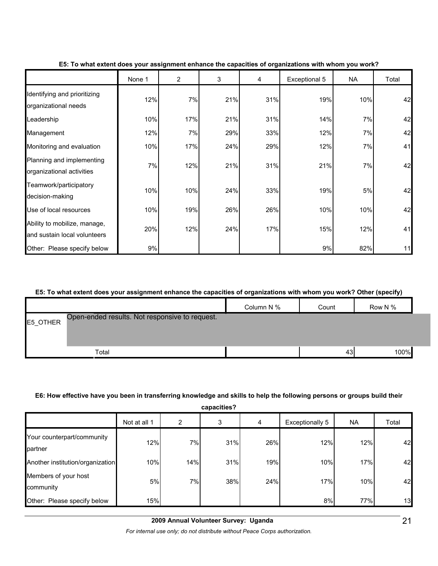|                                                              | None 1 | $\overline{2}$ | 3   | 4   | Exceptional 5 | <b>NA</b> | Total |
|--------------------------------------------------------------|--------|----------------|-----|-----|---------------|-----------|-------|
| Identifying and prioritizing<br>organizational needs         | 12%    | 7%             | 21% | 31% | 19%           | 10%       | 42    |
| Leadership                                                   | 10%    | 17%            | 21% | 31% | 14%           | 7%        | 42    |
| Management                                                   | 12%    | 7%             | 29% | 33% | 12%           | 7%        | 42    |
| Monitoring and evaluation                                    | 10%    | 17%            | 24% | 29% | 12%           | 7%        | 41    |
| Planning and implementing<br>organizational activities       | 7%     | 12%            | 21% | 31% | 21%           | 7%        | 42    |
| Teamwork/participatory<br>decision-making                    | 10%    | 10%            | 24% | 33% | 19%           | 5%        | 42    |
| Use of local resources                                       | 10%    | 19%            | 26% | 26% | 10%           | 10%       | 42    |
| Ability to mobilize, manage,<br>and sustain local volunteers | 20%    | 12%            | 24% | 17% | 15%           | 12%       | 41    |
| Other: Please specify below                                  | 9%     |                |     |     | 9%            | 82%       | 11    |

#### **E5: To what extent does your assignment enhance the capacities of organizations with whom you work?**

#### **E5: To what extent does your assignment enhance the capacities of organizations with whom you work? Other (specify)**

|          |                                                | Column N % | Count | Row N % |
|----------|------------------------------------------------|------------|-------|---------|
| E5_OTHER | Open-ended results. Not responsive to request. |            |       |         |
|          | Total                                          |            | 43    | 100%    |

#### **E6: How effective have you been in transferring knowledge and skills to help the following persons or groups build their**

| capacities?                           |              |                |     |     |                        |           |       |  |
|---------------------------------------|--------------|----------------|-----|-----|------------------------|-----------|-------|--|
|                                       | Not at all 1 | $\overline{2}$ | 3   | 4   | <b>Exceptionally 5</b> | <b>NA</b> | Total |  |
| Your counterpart/community<br>partner | 12%          | 7%             | 31% | 26% | 12%                    | 12%       | 42    |  |
| Another institution/organization      | 10%          | 14%            | 31% | 19% | 10%                    | 17%       | 42    |  |
| Members of your host<br>community     | 5%           | 7%             | 38% | 24% | 17%                    | 10%       | 42    |  |
| Other: Please specify below           | 15%          |                |     |     | 8%                     | 77%       | 13    |  |

*For internal use only; do not distribute without Peace Corps authorization.*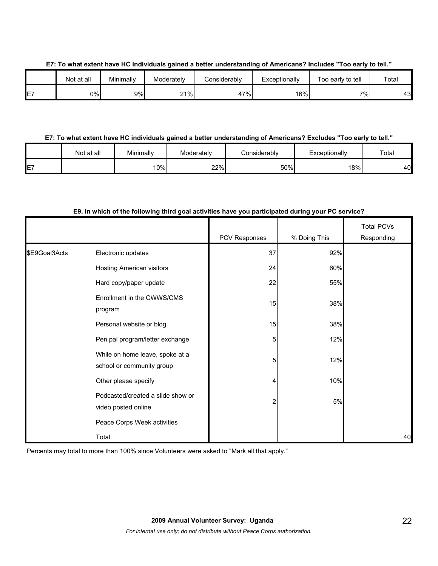|              | Not at all | Minimally | Moderately | Considerably | Exceptionally | Too early to tell  | Tota <sub>i</sub> |
|--------------|------------|-----------|------------|--------------|---------------|--------------------|-------------------|
| --<br>-<br>∟ | 0%         | 9%        | 21%        | 47%          | 16%           | $7\%$ <sub>1</sub> | 43                |

### **E7: To what extent have HC individuals gained a better understanding of Americans? Excludes "Too early to tell."**

|    | Not at all | Minimally | Moderately | Considerably | Exceptionally | Total |
|----|------------|-----------|------------|--------------|---------------|-------|
| E7 |            | $10\%$    | 22%        | 50%          | <b>8%</b>     | 40    |

## **E9. In which of the following third goal activities have you participated during your PC service?**

|               |                                                              |               |              | <b>Total PCVs</b> |
|---------------|--------------------------------------------------------------|---------------|--------------|-------------------|
|               |                                                              | PCV Responses | % Doing This | Responding        |
| \$E9Goal3Acts | Electronic updates                                           | 37            | 92%          |                   |
|               | Hosting American visitors                                    | 24            | 60%          |                   |
|               | Hard copy/paper update                                       | 22            | 55%          |                   |
|               | Enrollment in the CWWS/CMS<br>program                        | 15            | 38%          |                   |
|               | Personal website or blog                                     | 15            | 38%          |                   |
|               | Pen pal program/letter exchange                              | 5             | 12%          |                   |
|               | While on home leave, spoke at a<br>school or community group | 5             | 12%          |                   |
|               | Other please specify                                         | 4             | 10%          |                   |
|               | Podcasted/created a slide show or<br>video posted online     | 2             | 5%           |                   |
|               | Peace Corps Week activities                                  |               |              |                   |
|               | Total                                                        |               |              | 40                |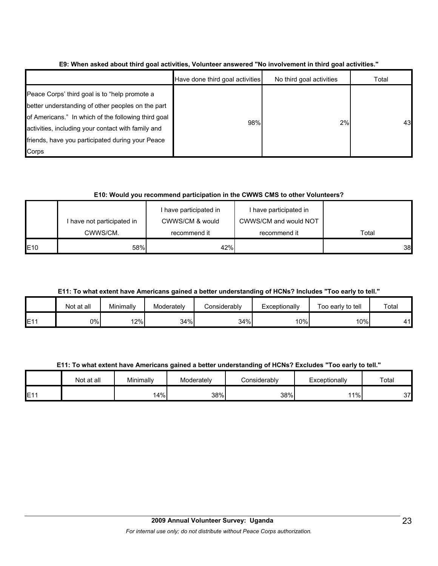|                                                                                                                                                                                                                                                                              | Have done third goal activities | No third goal activities | Total |
|------------------------------------------------------------------------------------------------------------------------------------------------------------------------------------------------------------------------------------------------------------------------------|---------------------------------|--------------------------|-------|
| Peace Corps' third goal is to "help promote a<br>better understanding of other peoples on the part<br>of Americans." In which of the following third goal<br>activities, including your contact with family and<br>friends, have you participated during your Peace<br>Corps | 98%                             | 2%                       | 43    |

**E9: When asked about third goal activities, Volunteer answered "No involvement in third goal activities."** 

## **E10: Would you recommend participation in the CWWS CMS to other Volunteers?**

|             | I have not participated in | I have participated in<br>CWWS/CM & would | I have participated in<br>CWWS/CM and would NOT | Total |  |
|-------------|----------------------------|-------------------------------------------|-------------------------------------------------|-------|--|
|             | CWWS/CM.                   | recommend it                              | recommend it                                    |       |  |
| <b>IE10</b> | 58%                        | 42%                                       |                                                 | 38    |  |

**E11: To what extent have Americans gained a better understanding of HCNs? Includes "Too early to tell."**

|     | Not at all | Minimally | Moderately | Considerably | Exceptionally | Too early to tell | Total     |
|-----|------------|-----------|------------|--------------|---------------|-------------------|-----------|
| E11 | 0%         | ا%12      | 34%        | 34%          | $10\%$        | 10%               | 41<br>T I |

## **E11: To what extent have Americans gained a better understanding of HCNs? Excludes "Too early to tell."**

|                   | Not at all | Minimally | Moderately | onsiderablyٽ | Exceptionally | Total |
|-------------------|------------|-----------|------------|--------------|---------------|-------|
| E44<br><u>. I</u> |            | 4%ا       | 38%        | 38%          | 11%           | 37    |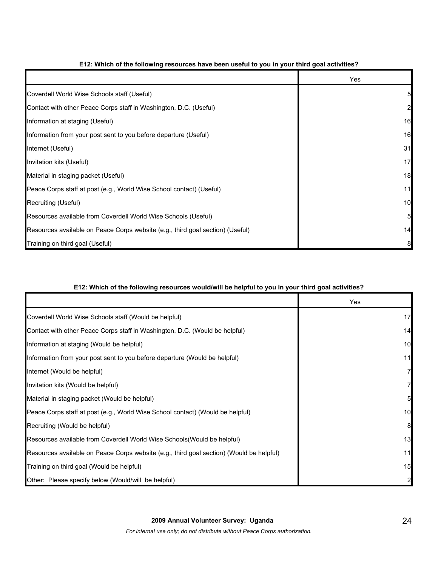|                                                                                | Yes |
|--------------------------------------------------------------------------------|-----|
| Coverdell World Wise Schools staff (Useful)                                    |     |
| Contact with other Peace Corps staff in Washington, D.C. (Useful)              |     |
| Information at staging (Useful)                                                | 16  |
| Information from your post sent to you before departure (Useful)               | 16  |
| Internet (Useful)                                                              | 31  |
| Invitation kits (Useful)                                                       | 17  |
| Material in staging packet (Useful)                                            | 18  |
| Peace Corps staff at post (e.g., World Wise School contact) (Useful)           | 11  |
| Recruiting (Useful)                                                            | 10  |
| Resources available from Coverdell World Wise Schools (Useful)                 | 5   |
| Resources available on Peace Corps website (e.g., third goal section) (Useful) | 14  |
| Training on third goal (Useful)                                                |     |

## **E12: Which of the following resources have been useful to you in your third goal activities?**

## **E12: Which of the following resources would/will be helpful to you in your third goal activities?**

|                                                                                          | Yes |
|------------------------------------------------------------------------------------------|-----|
| Coverdell World Wise Schools staff (Would be helpful)                                    | 17  |
| Contact with other Peace Corps staff in Washington, D.C. (Would be helpful)              | 14  |
| Information at staging (Would be helpful)                                                | 10  |
| Information from your post sent to you before departure (Would be helpful)               | 11  |
| Internet (Would be helpful)                                                              | 7   |
| Invitation kits (Would be helpful)                                                       |     |
| Material in staging packet (Would be helpful)                                            | 5   |
| Peace Corps staff at post (e.g., World Wise School contact) (Would be helpful)           | 10  |
| Recruiting (Would be helpful)                                                            | 8   |
| Resources available from Coverdell World Wise Schools (Would be helpful)                 | 13  |
| Resources available on Peace Corps website (e.g., third goal section) (Would be helpful) | 11  |
| Training on third goal (Would be helpful)                                                | 15  |
| Other: Please specify below (Would/will be helpful)                                      |     |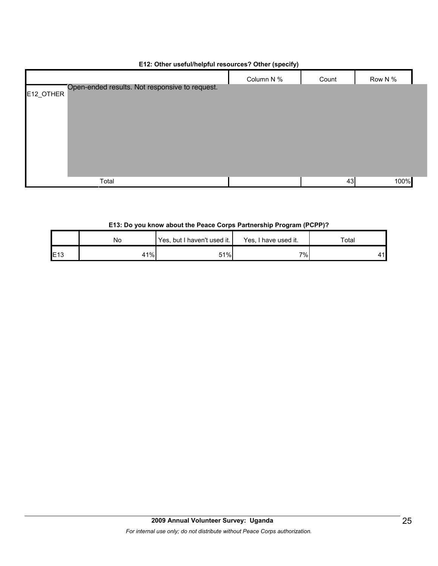|                                                             | Column N % | Count | Row N % |  |
|-------------------------------------------------------------|------------|-------|---------|--|
| Open-ended results. Not responsive to request.<br>E12_OTHER |            |       |         |  |
| Total                                                       |            | 43    | 100%    |  |

## **E12: Other useful/helpful resources? Other (specify)**

## **E13: Do you know about the Peace Corps Partnership Program (PCPP)?**

|                 | No  | Yes, but I haven't used it. | Yes, I have used it. | Total |
|-----------------|-----|-----------------------------|----------------------|-------|
| E <sub>13</sub> | 41% | 51%                         | 7%                   |       |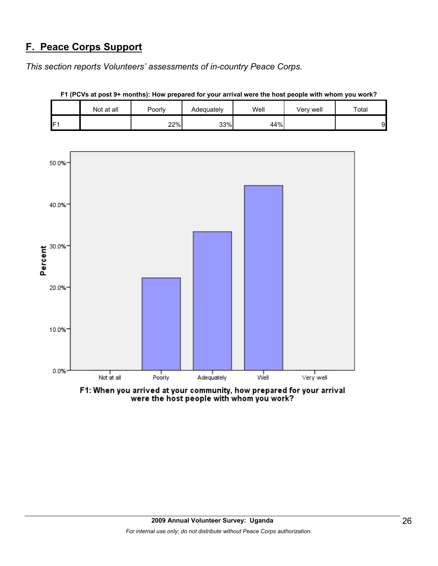# **F. Peace Corps Support**

*This section reports Volunteers' assessments of in-country Peace Corps.* 

|     | Not at all | Poorly | Adequately | Well | Very well | Total |
|-----|------------|--------|------------|------|-----------|-------|
| IF1 |            | 22%    | 33%        | 44%  |           | 9     |



**F1 (PCVs at post 9+ months): How prepared for your arrival were the host people with whom you work?**

F1: When you arrived at your community, how prepared for your arrival were the host people with whom you work?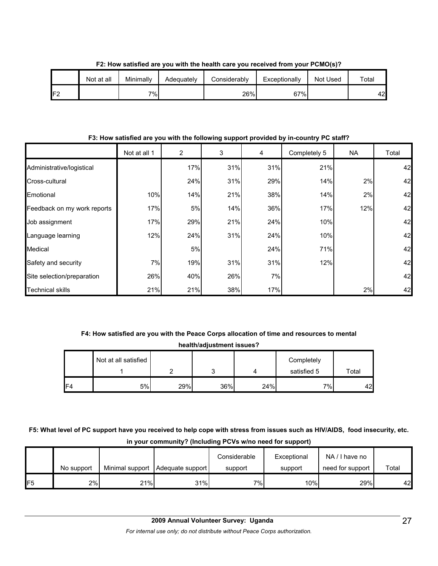|     | Not at all | Minimally | Adequately | Considerably | Exceptionally | Not Used | $\tau$ otal |
|-----|------------|-----------|------------|--------------|---------------|----------|-------------|
| IF2 |            | $7\%$     |            | 26%          | 67%           |          | 42          |

**F2: How satisfied are you with the health care you received from your PCMO(s)?**

**F3: How satisfied are you with the following support provided by in-country PC staff?**

|                             | Not at all 1 | $\overline{2}$ | 3   | 4   | Completely 5 | NA  | Total |
|-----------------------------|--------------|----------------|-----|-----|--------------|-----|-------|
| Administrative/logistical   |              | 17%            | 31% | 31% | 21%          |     | 42    |
| Cross-cultural              |              | 24%            | 31% | 29% | 14%          | 2%  | 42    |
| Emotional                   | 10%          | 14%            | 21% | 38% | 14%          | 2%  | 42    |
| Feedback on my work reports | 17%          | 5%             | 14% | 36% | 17%          | 12% | 42    |
| Job assignment              | 17%          | 29%            | 21% | 24% | 10%          |     | 42    |
| Language learning           | 12%          | 24%            | 31% | 24% | 10%          |     | 42    |
| Medical                     |              | 5%             |     | 24% | 71%          |     | 42    |
| Safety and security         | 7%           | 19%            | 31% | 31% | 12%          |     | 42    |
| Site selection/preparation  | 26%          | 40%            | 26% | 7%  |              |     | 42    |
| <b>Technical skills</b>     | 21%          | 21%            | 38% | 17% |              | 2%  | 42    |

## **F4: How satisfied are you with the Peace Corps allocation of time and resources to mental health/adjustment issues?**

| <b>IIGAILIIAUJUSUIIGIIL ISSUES !</b> |                      |  |  |  |             |       |  |
|--------------------------------------|----------------------|--|--|--|-------------|-------|--|
|                                      | Not at all satisfied |  |  |  | Completely  |       |  |
|                                      |                      |  |  |  | satisfied 5 | Total |  |
|                                      |                      |  |  |  |             |       |  |

**F5: What level of PC support have you received to help cope with stress from issues such as HIV/AIDS, food insecurity, etc. in your community? (Including PCVs w/no need for support)**

F4 5% 29% 36% 24% 7% 42

|     | No support |     | Minimal support   Adequate support | Considerable<br>support | Exceptional<br>support | NA/I have no<br>need for support | Total |
|-----|------------|-----|------------------------------------|-------------------------|------------------------|----------------------------------|-------|
| IF5 | 2%         | 21% | 31%                                | 7%I                     | 10%                    | 29%                              | 42    |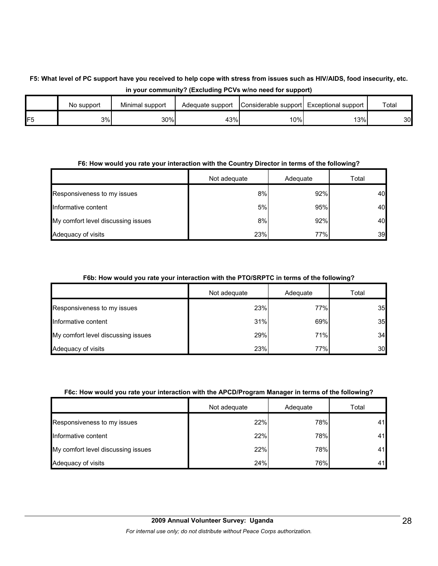## **F5: What level of PC support have you received to help cope with stress from issues such as HIV/AIDS, food insecurity, etc. in your community? (Excluding PCVs w/no need for support)**

|                 | No support | Minimal support | Adequate support | Considerable support Exceptional support |     | Totai |
|-----------------|------------|-----------------|------------------|------------------------------------------|-----|-------|
| IF <sub>5</sub> | 3%         | 30%             | 43%              | 10%I                                     | 13% | 30    |

## **F6: How would you rate your interaction with the Country Director in terms of the following?**

|                                    | Not adequate | Adequate | Total |
|------------------------------------|--------------|----------|-------|
| Responsiveness to my issues        | 8%           | 92%      | 40    |
| Informative content                | 5%           | 95%      | 40    |
| My comfort level discussing issues | 8%           | 92%      | 40    |
| Adequacy of visits                 | 23%          | 77%      | 39    |

## **F6b: How would you rate your interaction with the PTO/SRPTC in terms of the following?**

|                                    | Not adequate | Adequate | Total |
|------------------------------------|--------------|----------|-------|
| Responsiveness to my issues        | 23%          | 77%      | 35    |
| Informative content                | 31%          | 69%      | 35    |
| My comfort level discussing issues | 29%          | 71%      | 34    |
| Adequacy of visits                 | 23%          | 77%      | 30    |

## **F6c: How would you rate your interaction with the APCD/Program Manager in terms of the following?**

|                                    | Not adequate | Adequate | Total |
|------------------------------------|--------------|----------|-------|
| Responsiveness to my issues        | 22%          | 78%      | 41    |
| Informative content                | 22%          | 78%      | 41    |
| My comfort level discussing issues | 22%          | 78%      | 41    |
| Adequacy of visits                 | 24%          | 76%      | 41    |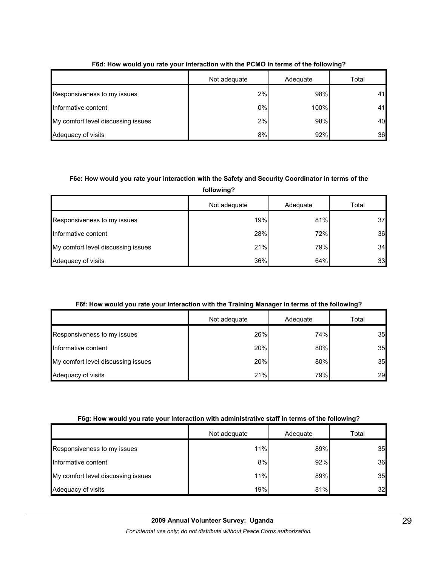|                                    | Not adequate | Adequate | Total |
|------------------------------------|--------------|----------|-------|
| Responsiveness to my issues        | 2%           | 98%      | 41    |
| Informative content                | 0%           | 100%     | 41    |
| My comfort level discussing issues | 2%           | 98%      | 40    |
| Adequacy of visits                 | 8%           | 92%      | 36    |

## **F6d: How would you rate your interaction with the PCMO in terms of the following?**

## **F6e: How would you rate your interaction with the Safety and Security Coordinator in terms of the**

**following?**

|                                    | Not adequate | Adequate | Total |
|------------------------------------|--------------|----------|-------|
| Responsiveness to my issues        | 19%          | 81%      | 37    |
| Informative content                | 28%          | 72%      | 36    |
| My comfort level discussing issues | 21%          | 79%      | 34    |
| Adequacy of visits                 | 36%          | 64%      | 33    |

## **F6f: How would you rate your interaction with the Training Manager in terms of the following?**

|                                    | Not adequate | Adequate | Total |
|------------------------------------|--------------|----------|-------|
| Responsiveness to my issues        | 26%          | 74%      | 35    |
| Informative content                | 20%          | 80%      | 35    |
| My comfort level discussing issues | 20%          | 80%      | 35    |
| Adequacy of visits                 | 21%          | 79%      | 29    |

## **F6g: How would you rate your interaction with administrative staff in terms of the following?**

|                                    | Not adequate | Adequate | Total |
|------------------------------------|--------------|----------|-------|
| Responsiveness to my issues        | 11%          | 89%      | 35    |
| Informative content                | 8%           | 92%      | 36    |
| My comfort level discussing issues | 11%          | 89%      | 35    |
| Adequacy of visits                 | 19%          | 81%      | 32    |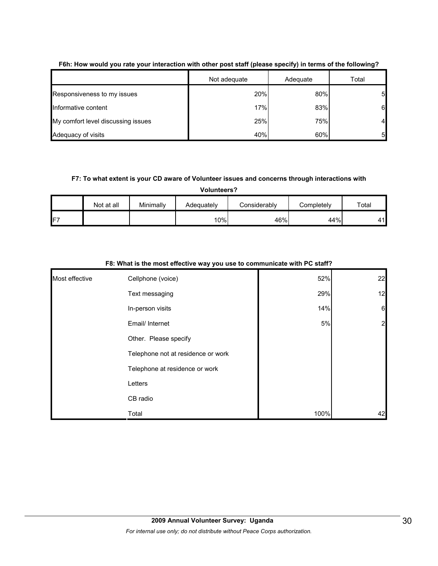|                                    | Not adequate | Adequate | Total |
|------------------------------------|--------------|----------|-------|
| Responsiveness to my issues        | 20%          | 80%      | 51    |
| Informative content                | 17%          | 83%      | 6     |
| My comfort level discussing issues | 25%          | 75%      | 4     |
| Adequacy of visits                 | 40%          | 60%      | 5     |

## **F6h: How would you rate your interaction with other post staff (please specify) in terms of the following?**

## **F7: To what extent is your CD aware of Volunteer issues and concerns through interactions with**

**Volunteers?**

|                 | Not at all | Minimally | Adequately | Considerably | Completely | Total |
|-----------------|------------|-----------|------------|--------------|------------|-------|
| IF <sub>7</sub> |            |           | 10%        | 46%          | 44%        | 11    |

|                | - -                                |      |                 |
|----------------|------------------------------------|------|-----------------|
| Most effective | Cellphone (voice)                  | 52%  | 22              |
|                | Text messaging                     | 29%  | 12              |
|                | In-person visits                   | 14%  | $6\phantom{.}6$ |
|                | Email/ Internet                    | 5%   | $\overline{2}$  |
|                | Other. Please specify              |      |                 |
|                | Telephone not at residence or work |      |                 |
|                | Telephone at residence or work     |      |                 |
|                | Letters                            |      |                 |
|                | CB radio                           |      |                 |
|                | Total                              | 100% | 42              |

#### **F8: What is the most effective way you use to communicate with PC staff?**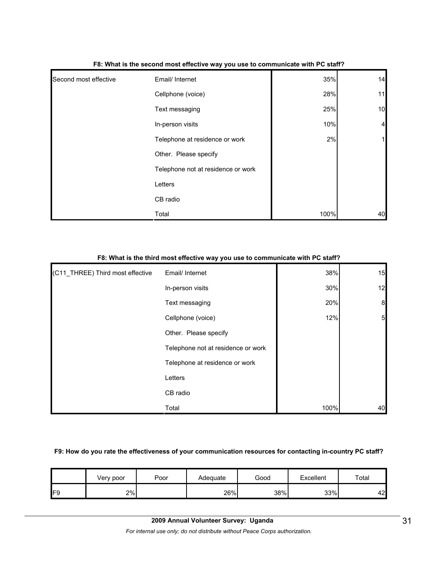| Second most effective | Email/ Internet                    | 35%  | 14                      |
|-----------------------|------------------------------------|------|-------------------------|
|                       | Cellphone (voice)                  | 28%  | 11                      |
|                       | Text messaging                     | 25%  | 10                      |
|                       | In-person visits                   | 10%  | $\overline{\mathbf{4}}$ |
|                       | Telephone at residence or work     | 2%   | $\mathbf{1}$            |
|                       | Other. Please specify              |      |                         |
|                       | Telephone not at residence or work |      |                         |
|                       | Letters                            |      |                         |
|                       | CB radio                           |      |                         |
|                       | Total                              | 100% | 40                      |

#### **F8: What is the second most effective way you use to communicate with PC staff?**

## **F8: What is the third most effective way you use to communicate with PC staff?**

| (C11_THREE) Third most effective | Email/ Internet                    | 38%  | 15               |
|----------------------------------|------------------------------------|------|------------------|
|                                  | In-person visits                   | 30%  | 12               |
|                                  | Text messaging                     | 20%  | $\boldsymbol{8}$ |
|                                  | Cellphone (voice)                  | 12%  | $5\overline{a}$  |
|                                  | Other. Please specify              |      |                  |
|                                  | Telephone not at residence or work |      |                  |
|                                  | Telephone at residence or work     |      |                  |
|                                  | Letters                            |      |                  |
|                                  | CB radio                           |      |                  |
|                                  | Total                              | 100% | 40               |

#### **F9: How do you rate the effectiveness of your communication resources for contacting in-country PC staff?**

|     | Very poor | Poor | Adequate | Good | Excellent | Total |
|-----|-----------|------|----------|------|-----------|-------|
| IF9 | 2%        |      | 26%      | 38%  | 33%       | 42    |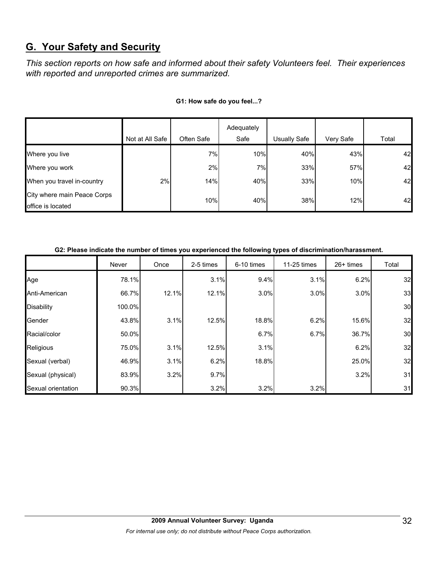# **G. Your Safety and Security**

*This section reports on how safe and informed about their safety Volunteers feel. Their experiences with reported and unreported crimes are summarized.* 

|                                                  |                 |            | Adequately |              |           |       |
|--------------------------------------------------|-----------------|------------|------------|--------------|-----------|-------|
|                                                  | Not at All Safe | Often Safe | Safe       | Usually Safe | Very Safe | Total |
| Where you live                                   |                 | 7%         | 10%        | 40%          | 43%       | 42    |
| Where you work                                   |                 | 2%         | 7%         | 33%          | 57%       | 42    |
| When you travel in-country                       | 2%              | 14%        | 40%        | 33%          | 10%       | 42    |
| City where main Peace Corps<br>office is located |                 | 10%        | 40%        | 38%          | 12%       | 42    |

## **G1: How safe do you feel...?**

| G2: Please indicate the number of times you experienced the following types of discrimination/harassment. |  |
|-----------------------------------------------------------------------------------------------------------|--|
|                                                                                                           |  |

|                    | Never  | Once  | 2-5 times | 6-10 times | 11-25 times | 26+ times | Total |
|--------------------|--------|-------|-----------|------------|-------------|-----------|-------|
| Age                | 78.1%  |       | 3.1%      | 9.4%       | 3.1%        | 6.2%      | 32    |
| Anti-American      | 66.7%  | 12.1% | 12.1%     | 3.0%       | 3.0%        | 3.0%      | 33    |
| <b>Disability</b>  | 100.0% |       |           |            |             |           | 30    |
| Gender             | 43.8%  | 3.1%  | 12.5%     | 18.8%      | 6.2%        | 15.6%     | 32    |
| Racial/color       | 50.0%  |       |           | 6.7%       | 6.7%        | 36.7%     | 30    |
| Religious          | 75.0%  | 3.1%  | 12.5%     | 3.1%       |             | 6.2%      | 32    |
| Sexual (verbal)    | 46.9%  | 3.1%  | 6.2%      | 18.8%      |             | 25.0%     | 32    |
| Sexual (physical)  | 83.9%  | 3.2%  | 9.7%      |            |             | 3.2%      | 31    |
| Sexual orientation | 90.3%  |       | 3.2%      | 3.2%       | 3.2%        |           | 31    |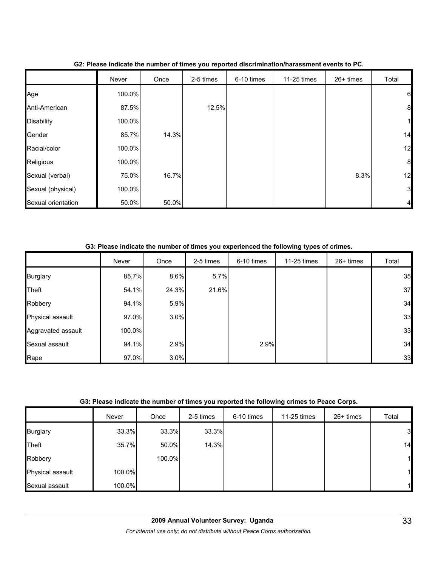|                    | Never  | Once  | 2-5 times | 6-10 times | 11-25 times | 26+ times | Total            |
|--------------------|--------|-------|-----------|------------|-------------|-----------|------------------|
| Age                | 100.0% |       |           |            |             |           | $6\phantom{.}6$  |
| Anti-American      | 87.5%  |       | 12.5%     |            |             |           | $\boldsymbol{8}$ |
| <b>Disability</b>  | 100.0% |       |           |            |             |           |                  |
| Gender             | 85.7%  | 14.3% |           |            |             |           | 14               |
| Racial/color       | 100.0% |       |           |            |             |           | 12               |
| Religious          | 100.0% |       |           |            |             |           | $\boldsymbol{8}$ |
| Sexual (verbal)    | 75.0%  | 16.7% |           |            |             | 8.3%      | 12               |
| Sexual (physical)  | 100.0% |       |           |            |             |           | 3                |
| Sexual orientation | 50.0%  | 50.0% |           |            |             |           |                  |

### **G2: Please indicate the number of times you reported discrimination/harassment events to PC.**

## **G3: Please indicate the number of times you experienced the following types of crimes.**

|                    | Never  | Once  | 2-5 times | 6-10 times | 11-25 times | $26+$ times | Total |
|--------------------|--------|-------|-----------|------------|-------------|-------------|-------|
| <b>Burglary</b>    | 85.7%  | 8.6%  | 5.7%      |            |             |             | 35    |
| <b>Theft</b>       | 54.1%  | 24.3% | 21.6%     |            |             |             | 37    |
| Robbery            | 94.1%  | 5.9%  |           |            |             |             | 34    |
| Physical assault   | 97.0%  | 3.0%  |           |            |             |             | 33    |
| Aggravated assault | 100.0% |       |           |            |             |             | 33    |
| Sexual assault     | 94.1%  | 2.9%  |           | 2.9%       |             |             | 34    |
| Rape               | 97.0%  | 3.0%  |           |            |             |             | 33    |

### **G3: Please indicate the number of times you reported the following crimes to Peace Corps.**

|                  | Never  | Once   | 2-5 times | 6-10 times | 11-25 times | 26+ times | Total          |
|------------------|--------|--------|-----------|------------|-------------|-----------|----------------|
| <b>Burglary</b>  | 33.3%  | 33.3%  | 33.3%     |            |             |           | $\overline{3}$ |
| Theft            | 35.7%  | 50.0%  | 14.3%     |            |             |           | 14             |
| Robbery          |        | 100.0% |           |            |             |           | $\mathbf{1}$   |
| Physical assault | 100.0% |        |           |            |             |           | $\mathbf{1}$   |
| Sexual assault   | 100.0% |        |           |            |             |           | $\mathbf{1}$   |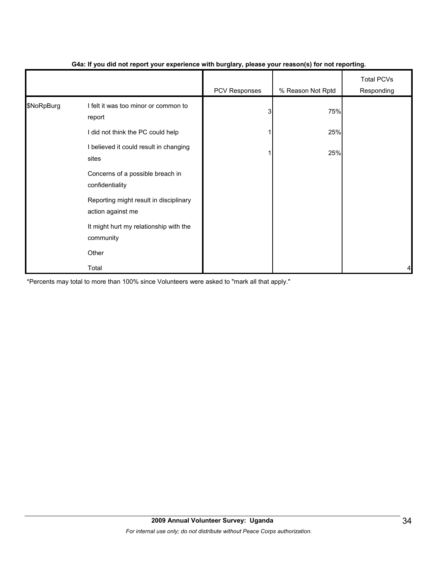|            |                                                             | .             | $\mathbf{v}$      |                                 |
|------------|-------------------------------------------------------------|---------------|-------------------|---------------------------------|
|            |                                                             | PCV Responses | % Reason Not Rptd | <b>Total PCVs</b><br>Responding |
| \$NoRpBurg | I felt it was too minor or common to<br>report              | 3             | 75%               |                                 |
|            | I did not think the PC could help                           |               | 25%               |                                 |
|            | I believed it could result in changing<br>sites             |               | 25%               |                                 |
|            | Concerns of a possible breach in<br>confidentiality         |               |                   |                                 |
|            | Reporting might result in disciplinary<br>action against me |               |                   |                                 |
|            | It might hurt my relationship with the<br>community         |               |                   |                                 |
|            | Other                                                       |               |                   |                                 |
|            | Total                                                       |               |                   | 4                               |

## **G4a: If you did not report your experience with burglary, please your reason(s) for not reporting.**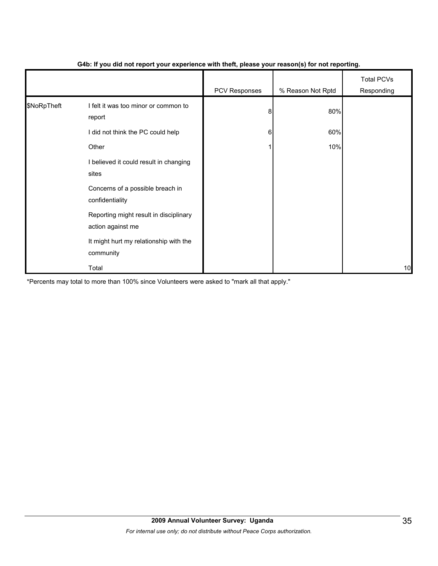|             |                                                             | - 1           | $\mathbf{v}$      |                                 |
|-------------|-------------------------------------------------------------|---------------|-------------------|---------------------------------|
|             |                                                             | PCV Responses | % Reason Not Rptd | <b>Total PCVs</b><br>Responding |
| \$NoRpTheft | I felt it was too minor or common to<br>report              | 8             | 80%               |                                 |
|             | I did not think the PC could help                           | 6             | 60%               |                                 |
|             | Other                                                       |               | 10%               |                                 |
|             | I believed it could result in changing<br>sites             |               |                   |                                 |
|             | Concerns of a possible breach in<br>confidentiality         |               |                   |                                 |
|             | Reporting might result in disciplinary<br>action against me |               |                   |                                 |
|             | It might hurt my relationship with the<br>community         |               |                   |                                 |
|             | Total                                                       |               |                   | 10                              |

## **G4b: If you did not report your experience with theft, please your reason(s) for not reporting.**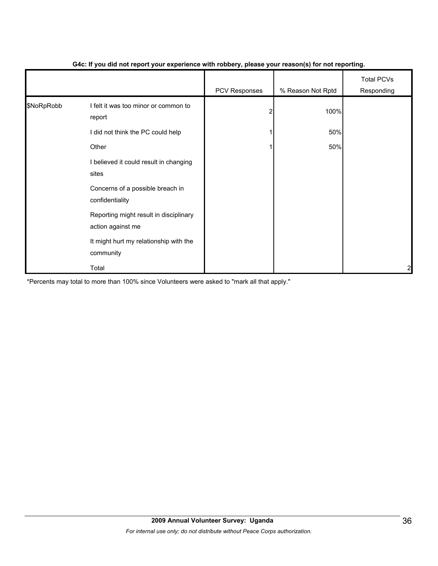|            |                                                             | PCV Responses | % Reason Not Rptd | <b>Total PCVs</b><br>Responding |
|------------|-------------------------------------------------------------|---------------|-------------------|---------------------------------|
| \$NoRpRobb | I felt it was too minor or common to<br>report              |               | 100%              |                                 |
|            | I did not think the PC could help                           |               | 50%               |                                 |
|            | Other                                                       |               | 50%               |                                 |
|            | I believed it could result in changing<br>sites             |               |                   |                                 |
|            | Concerns of a possible breach in<br>confidentiality         |               |                   |                                 |
|            | Reporting might result in disciplinary<br>action against me |               |                   |                                 |
|            | It might hurt my relationship with the<br>community         |               |                   |                                 |
|            | Total                                                       |               |                   | $\overline{a}$                  |

## **G4c: If you did not report your experience with robbery, please your reason(s) for not reporting.**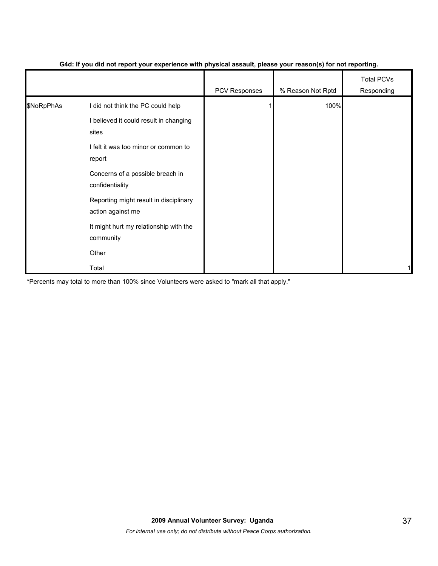|            |                                                             | - 1           | $\mathbf{v}$      |                                 |
|------------|-------------------------------------------------------------|---------------|-------------------|---------------------------------|
|            |                                                             | PCV Responses | % Reason Not Rptd | <b>Total PCVs</b><br>Responding |
| \$NoRpPhAs | I did not think the PC could help                           |               | 100%              |                                 |
|            | I believed it could result in changing<br>sites             |               |                   |                                 |
|            | I felt it was too minor or common to<br>report              |               |                   |                                 |
|            | Concerns of a possible breach in<br>confidentiality         |               |                   |                                 |
|            | Reporting might result in disciplinary<br>action against me |               |                   |                                 |
|            | It might hurt my relationship with the<br>community         |               |                   |                                 |
|            | Other                                                       |               |                   |                                 |
|            | Total                                                       |               |                   |                                 |

### **G4d: If you did not report your experience with physical assault, please your reason(s) for not reporting.**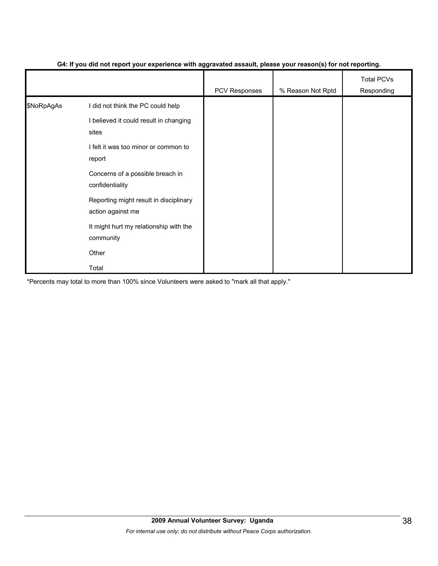|            |                                                             | ັ<br>- 1      | $\mathbf{v}$      |                                 |
|------------|-------------------------------------------------------------|---------------|-------------------|---------------------------------|
|            |                                                             | PCV Responses | % Reason Not Rptd | <b>Total PCVs</b><br>Responding |
| \$NoRpAgAs | I did not think the PC could help                           |               |                   |                                 |
|            | I believed it could result in changing<br>sites             |               |                   |                                 |
|            | I felt it was too minor or common to<br>report              |               |                   |                                 |
|            | Concerns of a possible breach in<br>confidentiality         |               |                   |                                 |
|            | Reporting might result in disciplinary<br>action against me |               |                   |                                 |
|            | It might hurt my relationship with the<br>community         |               |                   |                                 |
|            | Other                                                       |               |                   |                                 |
|            | Total                                                       |               |                   |                                 |

## **G4: If you did not report your experience with aggravated assault, please your reason(s) for not reporting.**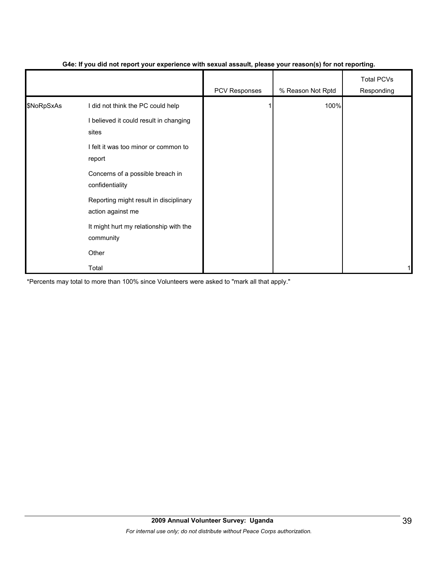|            |                                                                             | PCV Responses | % Reason Not Rptd | <b>Total PCVs</b><br>Responding |
|------------|-----------------------------------------------------------------------------|---------------|-------------------|---------------------------------|
| \$NoRpSxAs | I did not think the PC could help<br>I believed it could result in changing |               | 100%              |                                 |
|            | sites<br>I felt it was too minor or common to<br>report                     |               |                   |                                 |
|            | Concerns of a possible breach in<br>confidentiality                         |               |                   |                                 |
|            | Reporting might result in disciplinary<br>action against me                 |               |                   |                                 |
|            | It might hurt my relationship with the<br>community                         |               |                   |                                 |
|            | Other                                                                       |               |                   |                                 |
|            | Total                                                                       |               |                   |                                 |

## **G4e: If you did not report your experience with sexual assault, please your reason(s) for not reporting.**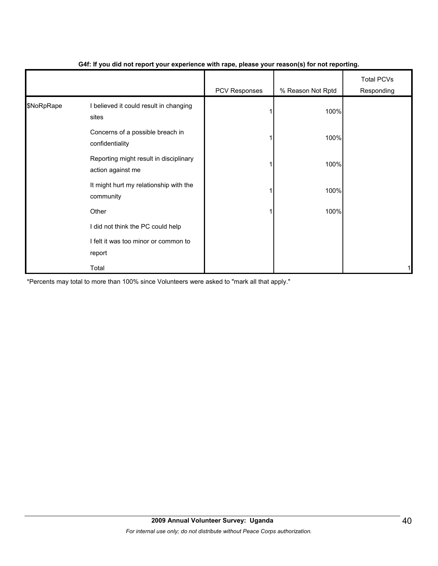|            |                                                             | .             | $\cdot$ $\cdot$   |                                 |
|------------|-------------------------------------------------------------|---------------|-------------------|---------------------------------|
|            |                                                             | PCV Responses | % Reason Not Rptd | <b>Total PCVs</b><br>Responding |
| \$NoRpRape | I believed it could result in changing<br>sites             |               | 100%              |                                 |
|            | Concerns of a possible breach in<br>confidentiality         |               | 100%              |                                 |
|            | Reporting might result in disciplinary<br>action against me |               | 100%              |                                 |
|            | It might hurt my relationship with the<br>community         |               | 100%              |                                 |
|            | Other                                                       |               | 100%              |                                 |
|            | I did not think the PC could help                           |               |                   |                                 |
|            | I felt it was too minor or common to<br>report              |               |                   |                                 |
|            | Total                                                       |               |                   | 1                               |

## **G4f: If you did not report your experience with rape, please your reason(s) for not reporting.**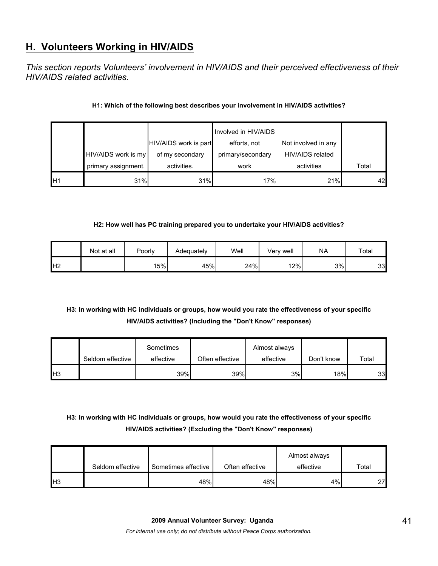# **H. Volunteers Working in HIV/AIDS**

*This section reports Volunteers' involvement in HIV/AIDS and their perceived effectiveness of their HIV/AIDS related activities.* 

## **H1: Which of the following best describes your involvement in HIV/AIDS activities?**

|                 |                     |                       | Involved in HIV/AIDS |                     |       |
|-----------------|---------------------|-----------------------|----------------------|---------------------|-------|
|                 |                     | HIV/AIDS work is part | efforts, not         | Not involved in any |       |
|                 | HIV/AIDS work is my | of my secondary       | primary/secondary    | HIV/AIDS related    |       |
|                 | primary assignment. | activities.           | work                 | activities          | Total |
| IH <sub>1</sub> | 31%                 | 31%                   | 17%                  | 21%                 | 42    |

## **H2: How well has PC training prepared you to undertake your HIV/AIDS activities?**

|                | Not at all | Poorly | Adequately | Well | Very well | <b>NA</b> | Total |
|----------------|------------|--------|------------|------|-----------|-----------|-------|
| H <sub>2</sub> |            | 15%    | 45%        | 24%  | 12%       | 3%        | 33    |

## **H3: In working with HC individuals or groups, how would you rate the effectiveness of your specific HIV/AIDS activities? (Including the "Don't Know" responses)**

|                 |                  | Sometimes |                 | Almost always |            |       |
|-----------------|------------------|-----------|-----------------|---------------|------------|-------|
|                 | Seldom effective | effective | Often effective | effective     | Don't know | Total |
| IH <sub>3</sub> |                  | 39%       | 39%             | 3%            | 18%        | 33    |

## **H3: In working with HC individuals or groups, how would you rate the effectiveness of your specific HIV/AIDS activities? (Excluding the "Don't Know" responses)**

|            |                  |                     |                 | Almost always |       |
|------------|------------------|---------------------|-----------------|---------------|-------|
|            | Seldom effective | Sometimes effective | Often effective | effective     | Total |
| <b>IH3</b> |                  | 48%                 | 48%             | 4%            | 27    |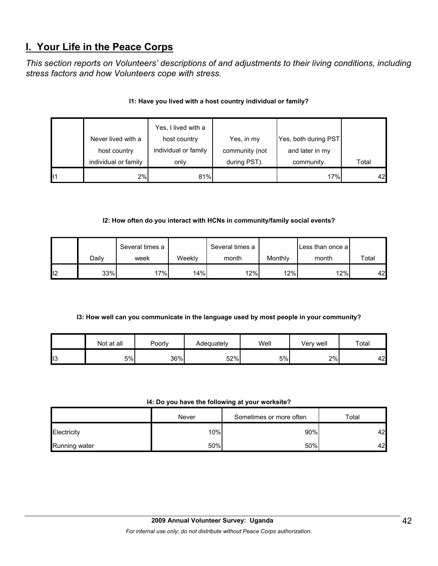# **I. Your Life in the Peace Corps**

*This section reports on Volunteers' descriptions of and adjustments to their living conditions, including stress factors and how Volunteers cope with stress.* 

|    | Never lived with a<br>host country | Yes, I lived with a<br>host country<br>individual or family | Yes, in my<br>community (not | Yes, both during PST<br>and later in my |       |    |
|----|------------------------------------|-------------------------------------------------------------|------------------------------|-----------------------------------------|-------|----|
|    | individual or family               | only                                                        | during PST).                 | community.                              | Total |    |
| 11 | 2%                                 | 81%                                                         |                              | 17%                                     |       | 42 |

## **I1: Have you lived with a host country individual or family?**

## **I2: How often do you interact with HCNs in community/family social events?**

|    |       | Several times a |        | Several times a |         | Less than once a |       |
|----|-------|-----------------|--------|-----------------|---------|------------------|-------|
|    | Dailv | week            | Weeklv | month           | Monthly | month            | Total |
| 12 | 33%   | $7\%$           | 14%    | 12%             | 12%     | 12%              | 42    |

## **I3: How well can you communicate in the language used by most people in your community?**

|                | Not at all | Poorly | Adequately | Well | Verv well | Total |
|----------------|------------|--------|------------|------|-----------|-------|
| $\mathsf{II}3$ | 5%         | 36%    | 52%        | 5%   | 2%        | 42    |

#### **I4: Do you have the following at your worksite?**

|               | Never | Sometimes or more often | Total |
|---------------|-------|-------------------------|-------|
| Electricity   | 10%   | 90%                     | 42    |
| Running water | 50%   | 50%                     | 42    |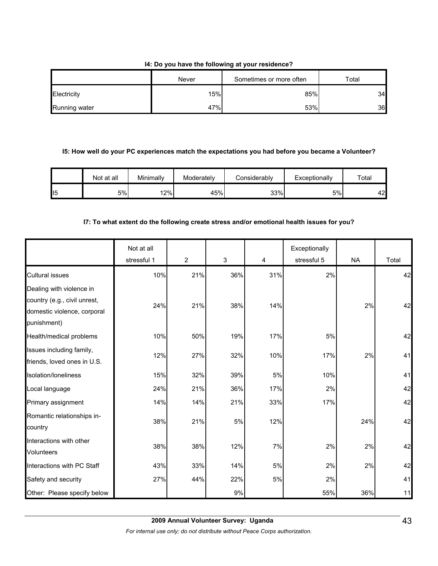## **I4: Do you have the following at your residence?**

|               | Never | Sometimes or more often | Total |
|---------------|-------|-------------------------|-------|
| Electricity   | 15%   | 85%                     | 34    |
| Running water | 47%   | 53%                     | 36    |

#### **I5: How well do your PC experiences match the expectations you had before you became a Volunteer?**

|     | Not at all | Minimally | Moderately | Considerablv | Exceptionally | $\tau$ otal |
|-----|------------|-----------|------------|--------------|---------------|-------------|
| ll5 | 5%         | $ 2\% $   | 45%        | 33%          | 5%            | 42          |

### **I7: To what extent do the following create stress and/or emotional health issues for you?**

|                                                                                                        | Not at all<br>stressful 1 | $\overline{2}$ | $\mathfrak{S}$ | 4     | Exceptionally<br>stressful 5 | <b>NA</b> | Total |
|--------------------------------------------------------------------------------------------------------|---------------------------|----------------|----------------|-------|------------------------------|-----------|-------|
| <b>Cultural issues</b>                                                                                 | 10%                       | 21%            | 36%            | 31%   | 2%                           |           | 42    |
| Dealing with violence in<br>country (e.g., civil unrest,<br>domestic violence, corporal<br>punishment) | 24%                       | 21%            | 38%            | 14%   |                              | 2%        | 42    |
| Health/medical problems                                                                                | 10%                       | 50%            | 19%            | 17%   | 5%                           |           | 42    |
| Issues including family,<br>friends, loved ones in U.S.                                                | 12%                       | 27%            | 32%            | 10%   | 17%                          | 2%        | 41    |
| Isolation/loneliness                                                                                   | 15%                       | 32%            | 39%            | 5%    | 10%                          |           | 41    |
| Local language                                                                                         | 24%                       | 21%            | 36%            | 17%   | 2%                           |           | 42    |
| Primary assignment                                                                                     | 14%                       | 14%            | 21%            | 33%   | 17%                          |           | 42    |
| Romantic relationships in-<br>country                                                                  | 38%                       | 21%            | 5%             | 12%   |                              | 24%       | 42    |
| Interactions with other<br><b>Volunteers</b>                                                           | 38%                       | 38%            | 12%            | 7%    | 2%                           | 2%        | 42    |
| Interactions with PC Staff                                                                             | 43%                       | 33%            | 14%            | 5%    | 2%                           | 2%        | 42    |
| Safety and security                                                                                    | 27%                       | 44%            | 22%            | $5\%$ | 2%                           |           | 41    |
| Other: Please specify below                                                                            |                           |                | 9%             |       | 55%                          | 36%       | 11    |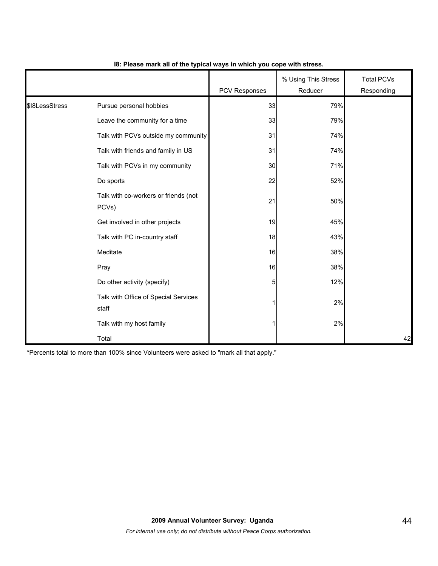|                |                                               | PCV Responses | % Using This Stress<br>Reducer | <b>Total PCVs</b><br>Responding |
|----------------|-----------------------------------------------|---------------|--------------------------------|---------------------------------|
| \$I8LessStress | Pursue personal hobbies                       | 33            | 79%                            |                                 |
|                | Leave the community for a time                | 33            | 79%                            |                                 |
|                | Talk with PCVs outside my community           | 31            | 74%                            |                                 |
|                | Talk with friends and family in US            | 31            | 74%                            |                                 |
|                | Talk with PCVs in my community                | 30            | 71%                            |                                 |
|                | Do sports                                     | 22            | 52%                            |                                 |
|                | Talk with co-workers or friends (not<br>PCVs) | 21            | 50%                            |                                 |
|                | Get involved in other projects                | 19            | 45%                            |                                 |
|                | Talk with PC in-country staff                 | 18            | 43%                            |                                 |
|                | Meditate                                      | 16            | 38%                            |                                 |
|                | Pray                                          | 16            | 38%                            |                                 |
|                | Do other activity (specify)                   | 5             | 12%                            |                                 |
|                | Talk with Office of Special Services<br>staff |               | 2%                             |                                 |
|                | Talk with my host family                      |               | 2%                             |                                 |
|                | Total                                         |               |                                | 42                              |

## **I8: Please mark all of the typical ways in which you cope with stress.**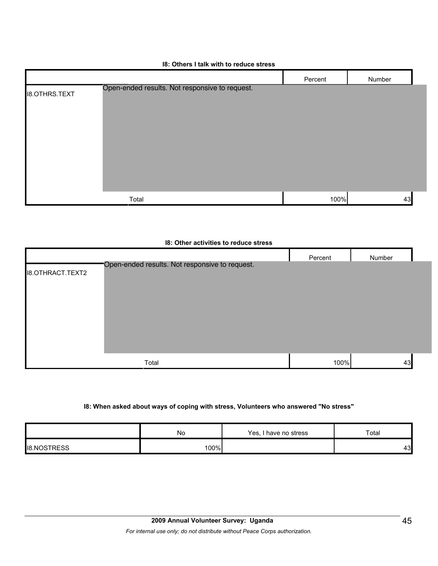| 18: Others I talk with to reduce stress |  |  |  |
|-----------------------------------------|--|--|--|
|-----------------------------------------|--|--|--|

|                      |                                                | Percent | Number |
|----------------------|------------------------------------------------|---------|--------|
| <b>I8.OTHRS.TEXT</b> | Open-ended results. Not responsive to request. |         |        |
|                      |                                                |         |        |
|                      |                                                |         |        |
|                      |                                                |         |        |
|                      |                                                |         |        |
|                      |                                                |         |        |
|                      |                                                |         |        |
|                      | Total                                          | 100%    | 43     |

|                         | <b>18: Other activities to reduce stress</b>   |         |        |  |
|-------------------------|------------------------------------------------|---------|--------|--|
| <b>I8.OTHRACT.TEXT2</b> | Open-ended results. Not responsive to request. | Percent | Number |  |
|                         | Total                                          | 100%    | 43     |  |

## **I8: When asked about ways of coping with stress, Volunteers who answered "No stress"**

|                    | No   | Yes, i<br>l have no stress | $\tau$ otal |
|--------------------|------|----------------------------|-------------|
| <b>IB.NOSTRESS</b> | 100% |                            | 43          |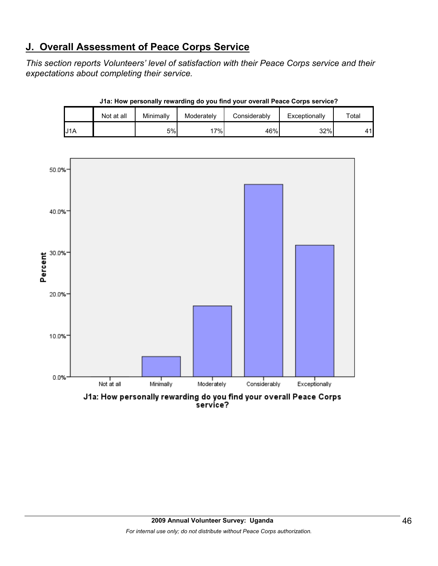# **J. Overall Assessment of Peace Corps Service**

*This section reports Volunteers' level of satisfaction with their Peace Corps service and their expectations about completing their service.* 

|     | Not at all | Minimally | Moderately | Considerably | Exceptionally | $\tau$ otal |
|-----|------------|-----------|------------|--------------|---------------|-------------|
| J1A |            | 5%        | 7%.        | 46%          | 32%           | 44.         |

**J1a: How personally rewarding do you find your overall Peace Corps service?**



service?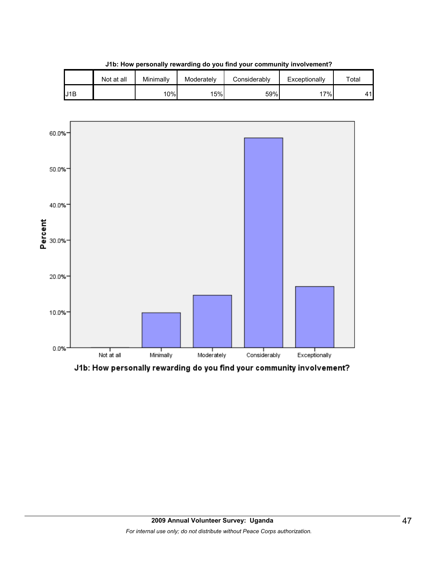





J1b: How personally rewarding do you find your community involvement?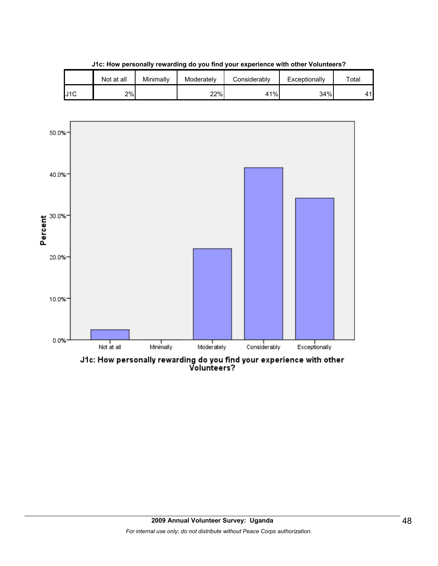|     | Not at all | Minimally | Moderately | Considerablv | Exceptionally | Total |
|-----|------------|-----------|------------|--------------|---------------|-------|
| J1C | 2%         |           | 22%        | 41%          | 34%           | A 1   |





J1c: How personally rewarding do you find your experience with other<br>Volunteers?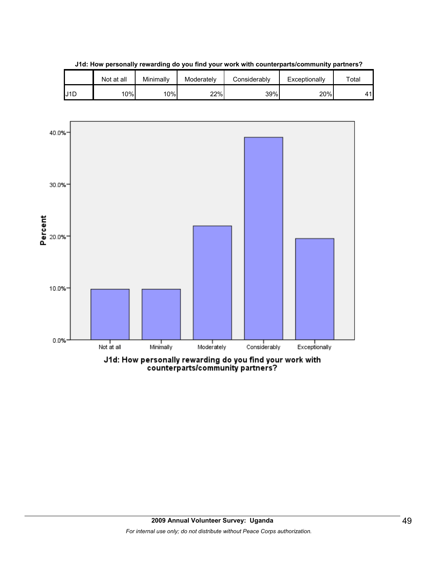

**J1d: How personally rewarding do you find your work with counterparts/community partners?**

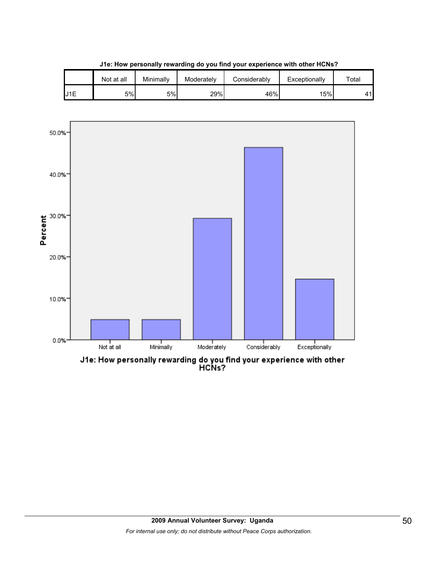

**J1e: How personally rewarding do you find your experience with other HCNs?**



J1e: How personally rewarding do you find your experience with other<br>HCNs?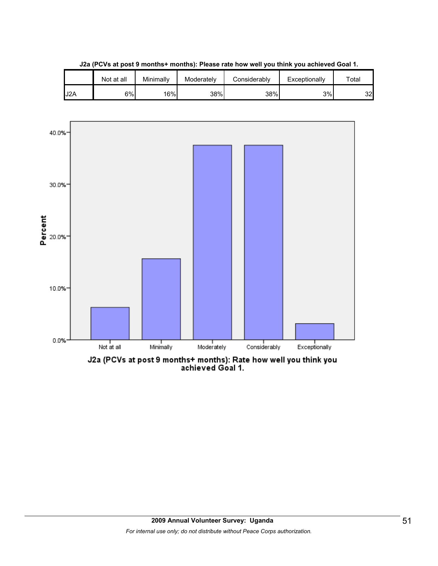





J2a (PCVs at post 9 months+ months): Rate how well you think you<br>achieved Goal 1.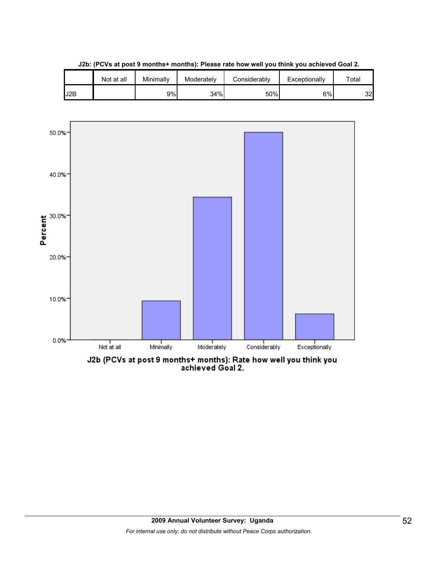

**J2b: (PCVs at post 9 months+ months): Please rate how well you think you achieved Goal 2.**



J2b (PCVs at post 9 months+ months): Rate how well you think you<br>achieved Goal 2.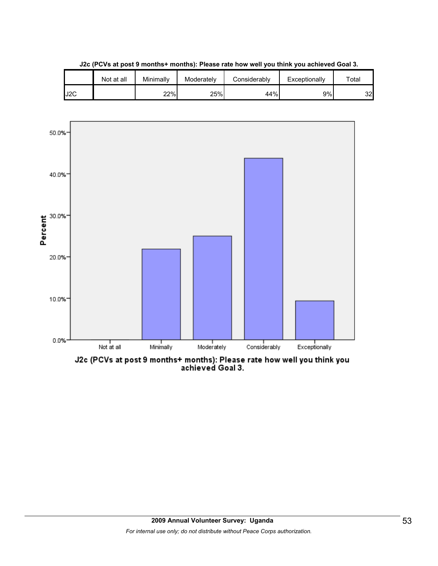





J2c (PCVs at post 9 months+ months): Please rate how well you think you<br>achieved Goal 3.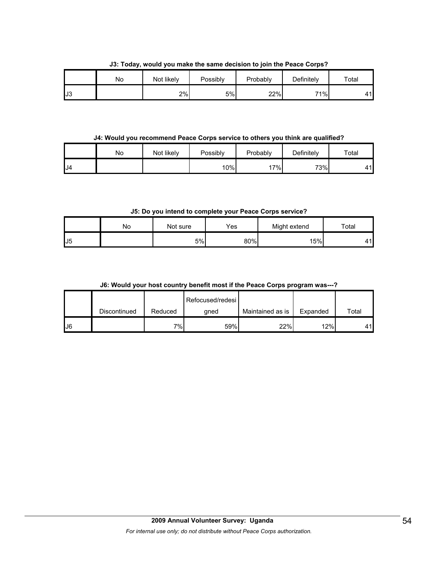|     | . . |            |                 |          |            |             |
|-----|-----|------------|-----------------|----------|------------|-------------|
|     | No  | Not likely | <b>Possibly</b> | Probably | Definitely | $\tau$ otal |
| IJЗ |     | 2%         | 5%              | 22%      | 71%        | 41          |

**J3: Today, would you make the same decision to join the Peace Corps?**

### **J4: Would you recommend Peace Corps service to others you think are qualified?**

|    | No | Not likely | Possibly | Probably | Definitely | Total |
|----|----|------------|----------|----------|------------|-------|
| J4 |    |            | 10%      | $7\%$    | 73%        | A 1   |

**J5: Do you intend to complete your Peace Corps service?**

|                 | Nο | Not sure | Yes | Might extend | Total |
|-----------------|----|----------|-----|--------------|-------|
| $_{\text{LJ}5}$ |    | 5%       | 80% | 15%          | 11    |

## **J6: Would your host country benefit most if the Peace Corps program was---?**

|    |              |         | Refocused/redesi |                  |          |       |
|----|--------------|---------|------------------|------------------|----------|-------|
|    | Discontinued | Reduced | qned             | Maintained as is | Expanded | Total |
| J6 |              | $7\%$   | 59%              | 22%              | 12%      | 41    |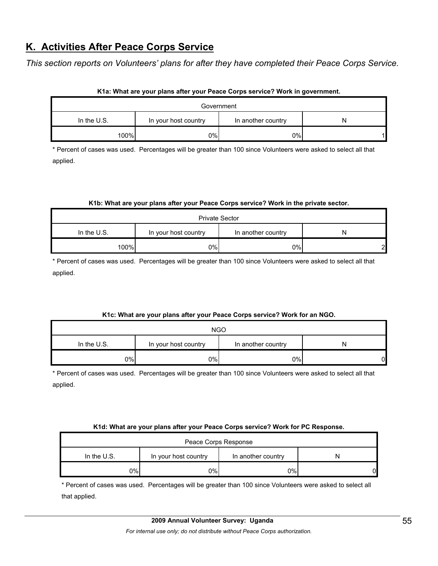# **K. Activities After Peace Corps Service**

*This section reports on Volunteers' plans for after they have completed their Peace Corps Service.* 

| Government    |                      |                    |   |  |  |  |
|---------------|----------------------|--------------------|---|--|--|--|
| In the $U.S.$ | In your host country | In another country | N |  |  |  |
| 100%          | 0%                   | 0%                 |   |  |  |  |

## **K1a: What are your plans after your Peace Corps service? Work in government.**

\* Percent of cases was used. Percentages will be greater than 100 since Volunteers were asked to select all that applied.

### **K1b: What are your plans after your Peace Corps service? Work in the private sector.**

| <b>Private Sector</b>                                          |     |    |              |  |  |  |
|----------------------------------------------------------------|-----|----|--------------|--|--|--|
| In the U.S.<br>In your host country<br>In another country<br>N |     |    |              |  |  |  |
| 100%                                                           | 0%l | 0% | $\mathbf{D}$ |  |  |  |

\* Percent of cases was used. Percentages will be greater than 100 since Volunteers were asked to select all that applied.

## **K1c: What are your plans after your Peace Corps service? Work for an NGO.**

| <b>NGO</b>    |     |    |  |  |  |  |
|---------------|-----|----|--|--|--|--|
| In the $U.S.$ | N   |    |  |  |  |  |
| 0%I           | 0%l | 0% |  |  |  |  |

\* Percent of cases was used. Percentages will be greater than 100 since Volunteers were asked to select all that applied.

#### **K1d: What are your plans after your Peace Corps service? Work for PC Response.**

| Peace Corps Response                                        |    |    |    |  |  |
|-------------------------------------------------------------|----|----|----|--|--|
| In the $U.S.$<br>In your host country<br>In another country |    |    |    |  |  |
| 2%                                                          | 0% | 0% | 01 |  |  |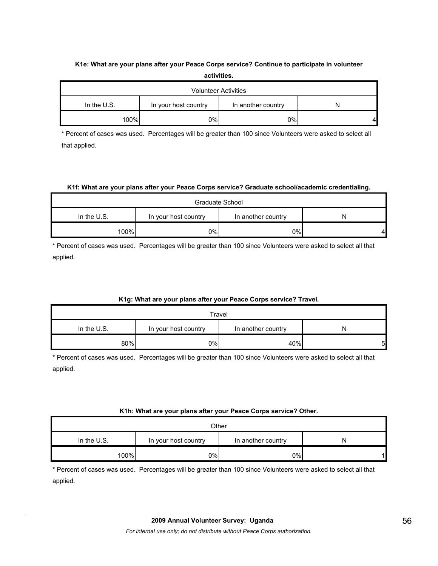## **K1e: What are your plans after your Peace Corps service? Continue to participate in volunteer activities.**

| <b>Volunteer Activities</b>                               |     |    |  |  |  |
|-----------------------------------------------------------|-----|----|--|--|--|
| In the U.S.<br>In your host country<br>In another country |     |    |  |  |  |
| 100%                                                      | 0%l | 0% |  |  |  |

\* Percent of cases was used. Percentages will be greater than 100 since Volunteers were asked to select all that applied.

## **K1f: What are your plans after your Peace Corps service? Graduate school/academic credentialing.**

| Graduate School                                             |    |     |   |  |  |  |
|-------------------------------------------------------------|----|-----|---|--|--|--|
| In the $U.S.$<br>In another country<br>In your host country |    |     |   |  |  |  |
| 100%                                                        | 0% | 0%l | 4 |  |  |  |

\* Percent of cases was used. Percentages will be greater than 100 since Volunteers were asked to select all that applied.

## **K1g: What are your plans after your Peace Corps service? Travel.**

| Travel                                                           |    |     |   |  |  |
|------------------------------------------------------------------|----|-----|---|--|--|
| In the $U.S.$<br>In your host country<br>In another country<br>N |    |     |   |  |  |
| 80%                                                              | 0% | 40% | 5 |  |  |

\* Percent of cases was used. Percentages will be greater than 100 since Volunteers were asked to select all that applied.

## **K1h: What are your plans after your Peace Corps service? Other.**

| Other                                                          |    |    |  |  |  |  |
|----------------------------------------------------------------|----|----|--|--|--|--|
| In the U.S.<br>In your host country<br>In another country<br>N |    |    |  |  |  |  |
| 100%                                                           | 0% | 0% |  |  |  |  |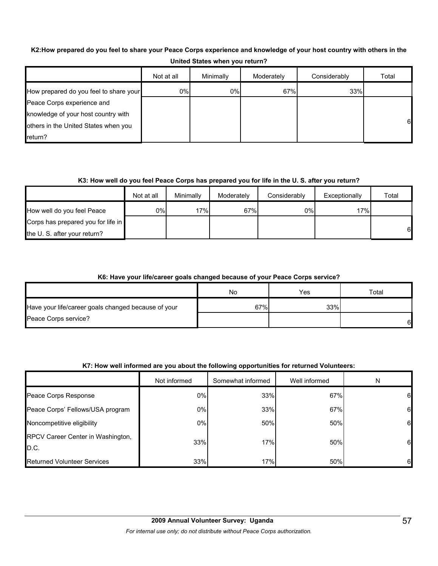## **K2:How prepared do you feel to share your Peace Corps experience and knowledge of your host country with others in the**

|                                        | Not at all | Minimally | Moderately | Considerably | Total |
|----------------------------------------|------------|-----------|------------|--------------|-------|
| How prepared do you feel to share your | 0%         | 0%        | 67%        | 33%          |       |
| Peace Corps experience and             |            |           |            |              |       |
| knowledge of your host country with    |            |           |            |              |       |
| others in the United States when you   |            |           |            |              | 61    |
| return?                                |            |           |            |              |       |

## **United States when you return?**

## **K3: How well do you feel Peace Corps has prepared you for life in the U. S. after you return?**

|                                    | Not at all | Minimally | Moderately | Considerably | Exceptionally | Total |
|------------------------------------|------------|-----------|------------|--------------|---------------|-------|
| How well do you feel Peace         | 0%         | 17%       | 67%        | 0%           | 17%           |       |
| Corps has prepared you for life in |            |           |            |              |               |       |
| the U. S. after your return?       |            |           |            |              |               | 6     |

## **K6: Have your life/career goals changed because of your Peace Corps service?**

|                                                     | No  | Yes | $\tau$ otal |
|-----------------------------------------------------|-----|-----|-------------|
| Have your life/career goals changed because of your | 67% | 33% |             |
| Peace Corps service?                                |     |     | 61          |

## **K7: How well informed are you about the following opportunities for returned Volunteers:**

|                                           | Not informed | Somewhat informed | Well informed | N  |
|-------------------------------------------|--------------|-------------------|---------------|----|
| Peace Corps Response                      | 0%           | 33%               | 67%           | 61 |
| Peace Corps' Fellows/USA program          | 0%           | 33%               | 67%           | 61 |
| Noncompetitive eligibility                | 0%           | 50%               | 50%           | 6  |
| RPCV Career Center in Washington,<br>D.C. | 33%          | 17%               | 50%           | 61 |
| <b>Returned Volunteer Services</b>        | 33%          | 17%               | 50%           | 61 |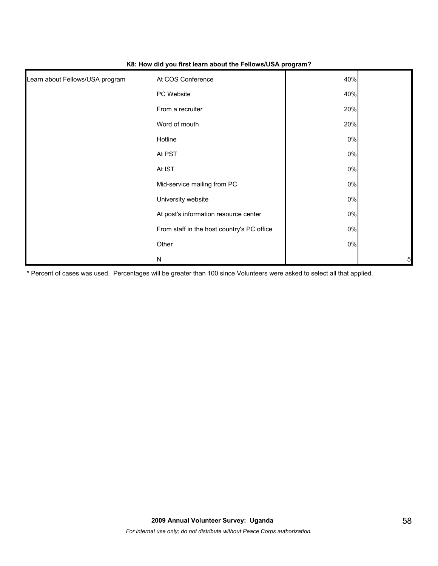| Learn about Fellows/USA program | At COS Conference                          | 40%   |   |
|---------------------------------|--------------------------------------------|-------|---|
|                                 | PC Website                                 | 40%   |   |
|                                 | From a recruiter                           | 20%   |   |
|                                 | Word of mouth                              | 20%   |   |
|                                 | Hotline                                    | 0%    |   |
|                                 | At PST                                     | $0\%$ |   |
|                                 | At IST                                     | $0\%$ |   |
|                                 | Mid-service mailing from PC                | 0%    |   |
|                                 | University website                         | 0%    |   |
|                                 | At post's information resource center      | 0%    |   |
|                                 | From staff in the host country's PC office | $0\%$ |   |
|                                 | Other                                      | $0\%$ |   |
|                                 | N                                          |       | 5 |

#### **K8: How did you first learn about the Fellows/USA program?**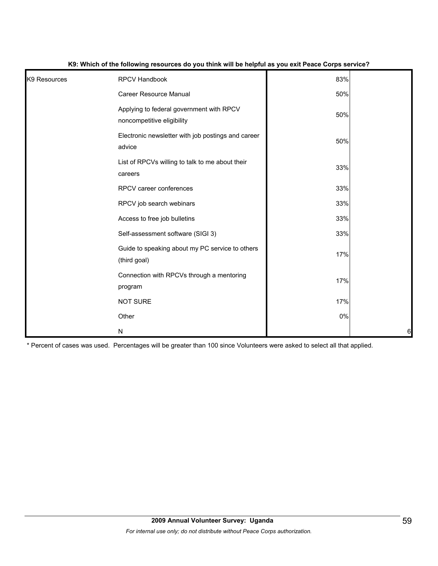| K9 Resources | RPCV Handbook                                                          | 83% |    |
|--------------|------------------------------------------------------------------------|-----|----|
|              | <b>Career Resource Manual</b>                                          | 50% |    |
|              | Applying to federal government with RPCV<br>noncompetitive eligibility | 50% |    |
|              | Electronic newsletter with job postings and career<br>advice           | 50% |    |
|              | List of RPCVs willing to talk to me about their<br>careers             | 33% |    |
|              | RPCV career conferences                                                | 33% |    |
|              | RPCV job search webinars                                               | 33% |    |
|              | Access to free job bulletins                                           | 33% |    |
|              | Self-assessment software (SIGI 3)                                      | 33% |    |
|              | Guide to speaking about my PC service to others<br>(third goal)        | 17% |    |
|              | Connection with RPCVs through a mentoring<br>program                   | 17% |    |
|              | <b>NOT SURE</b>                                                        | 17% |    |
|              | Other                                                                  | 0%  |    |
|              | N                                                                      |     | 61 |

#### **K9: Which of the following resources do you think will be helpful as you exit Peace Corps service?**